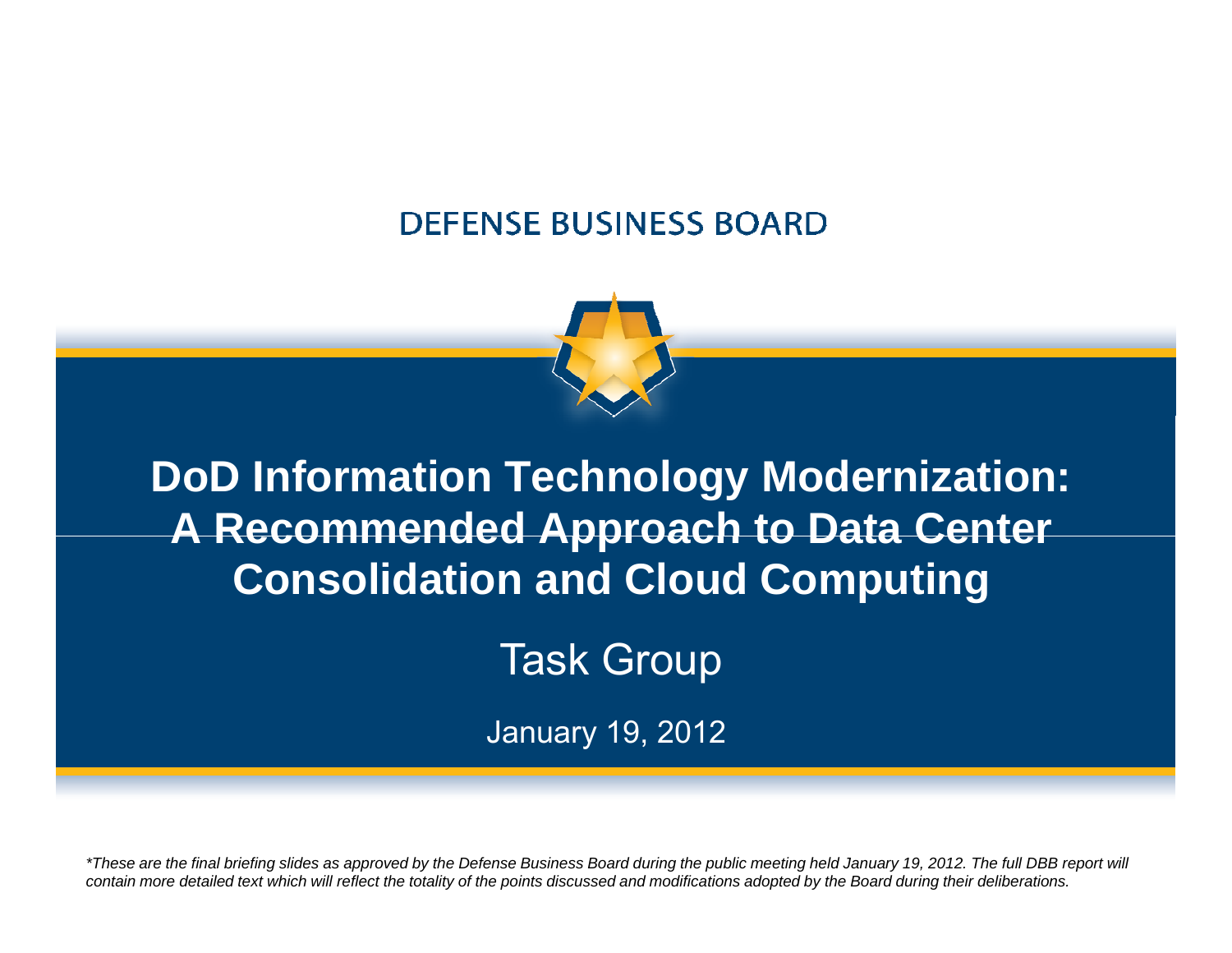#### **DEFENSE BUSINESS BOARD**



**DoD Information Technology Modernization: A Recommended Approach to Data Center Consolidation and Cloud Computing**

Task Group

January 19, 2012

*\*These are the final briefing slides as approved by the Defense Business Board during the public meeting held January 19, 2012. The full DBB report will contain more detailed text which will reflect the totality of the points discussed and modifications adopted by the Board during their deliberations.*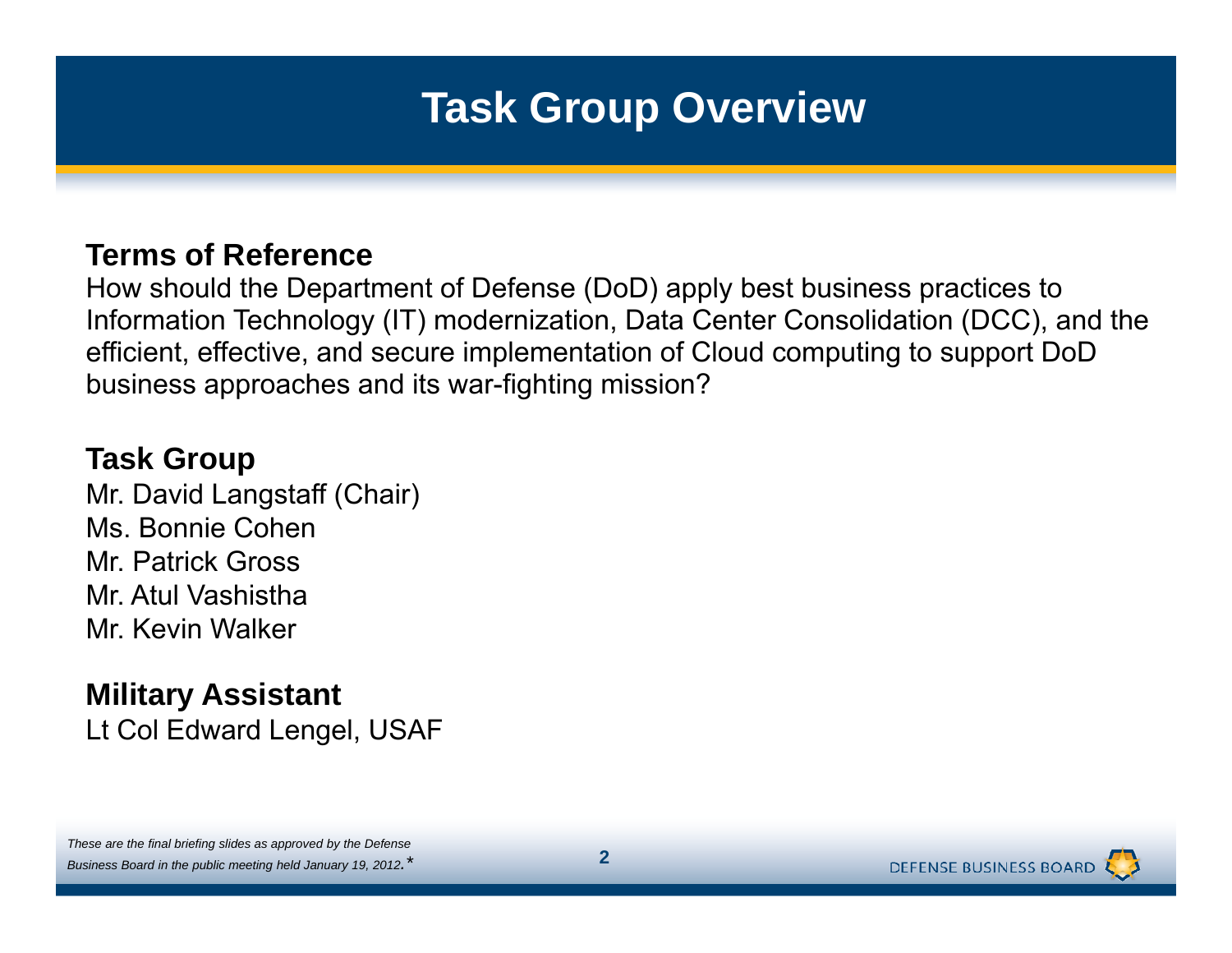# **Task Group Overview**

#### **Terms of Reference**

How should the Department of Defense (DoD) apply best business practices to Information Technology (IT) modernization, Data Center Consolidation (DCC), and the efficient, effective, and secure implementation of Cloud computing to support DoD business approaches and its war-fighting mission?

#### **Task Group**

Mr. David Langstaff (Chair) Ms. Bonnie Cohen Mr. Patrick GrossMr. Atul VashisthaMr. Kevin Walker

#### **Military Assistant** Lt Col Edward Lengel, USAF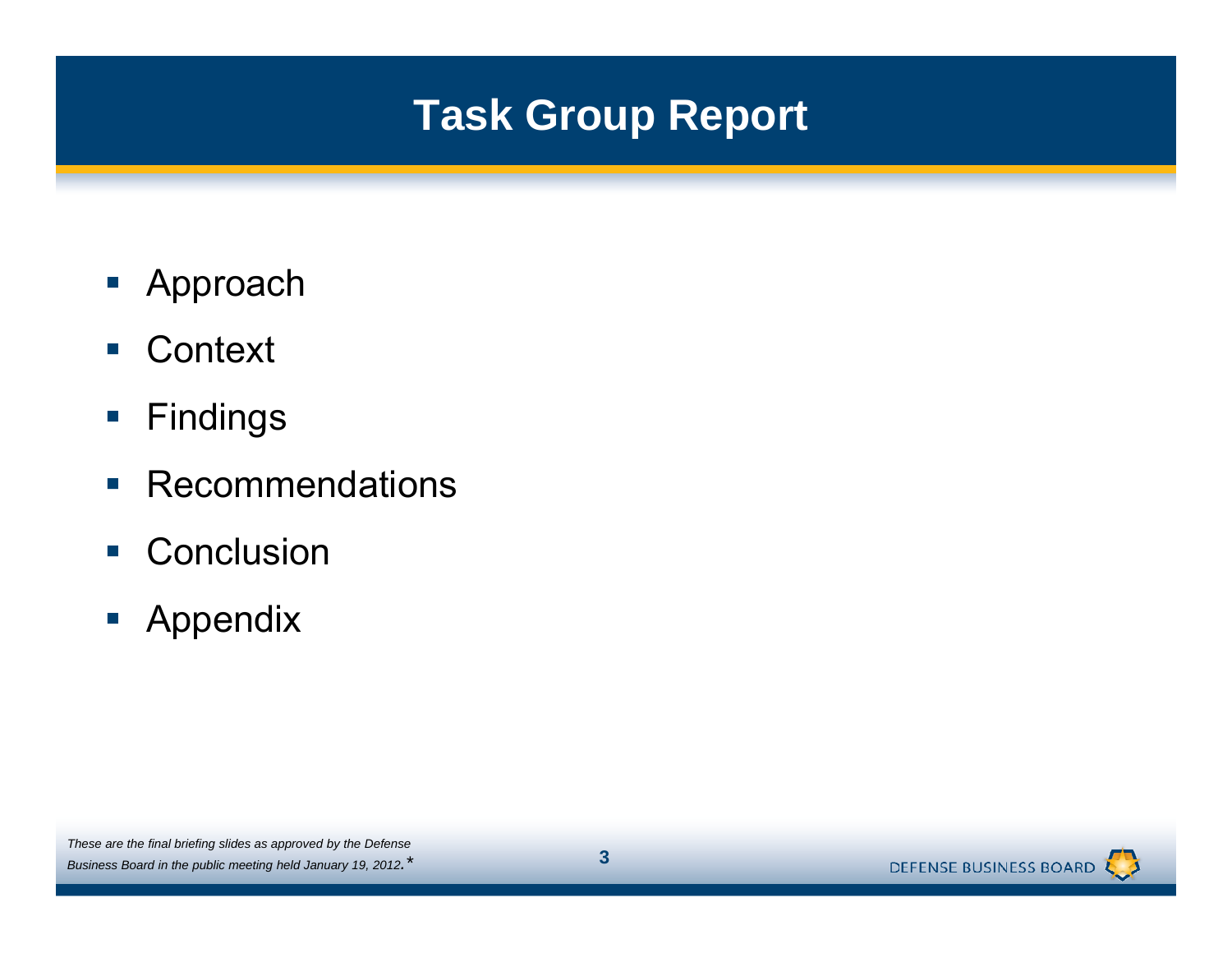# **Task Group Report**

- $\blacksquare$  Approach
- Context
- $\overline{\mathbb{R}^2}$ Findings
- $\overline{\phantom{a}}$ Recommendations
- **Conclusion**
- **-** Appendix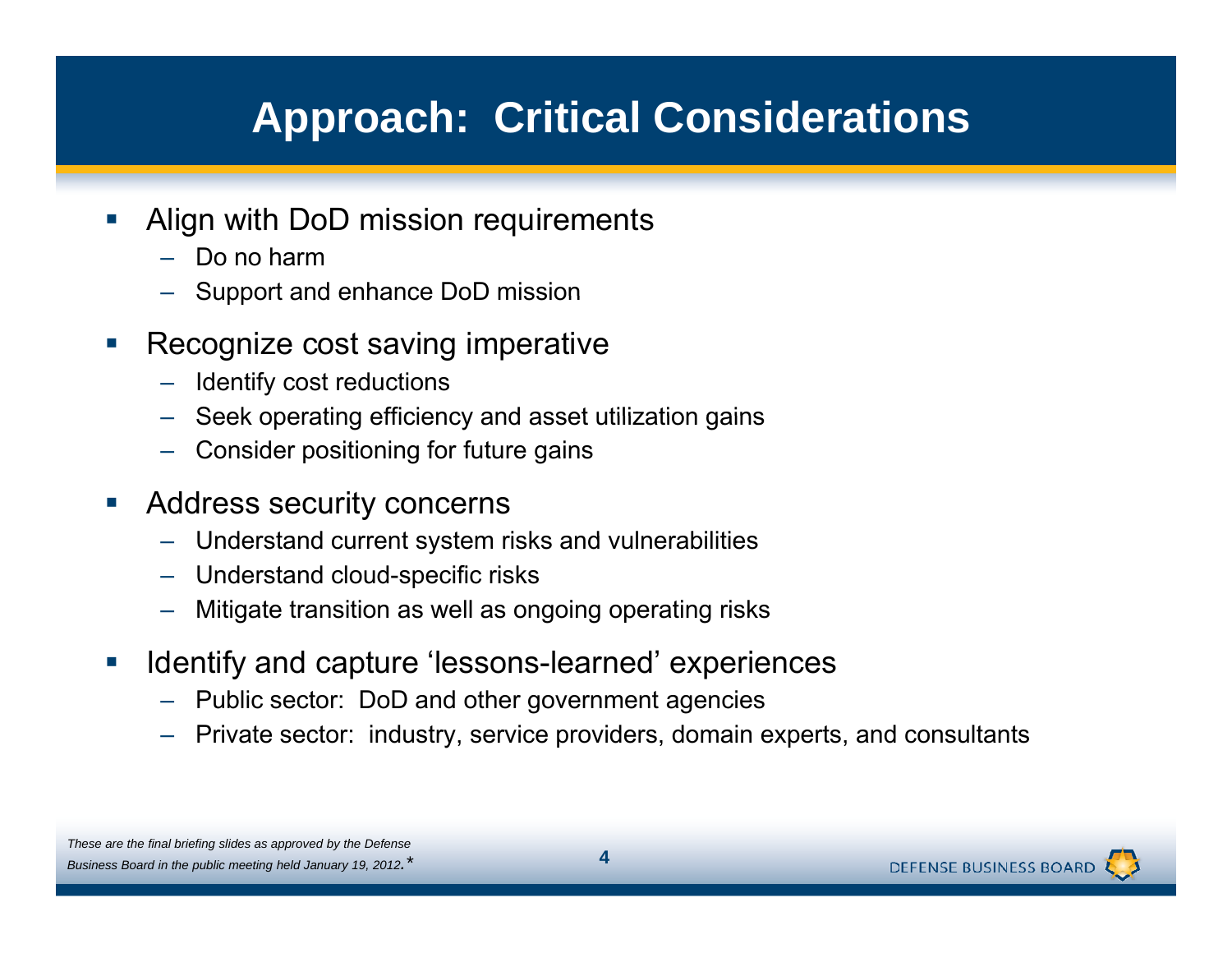# **Approach: Critical Considerations**

- $\mathcal{C}^{\mathcal{A}}$  Align with DoD mission requirements
	- Do no harm
	- Support and enhance DoD mission mission
- $\mathbb{R}^n$  Recognize cost saving imperative
	- Identify cost reductions
	- Seek operating efficiency and asset utilization gains
	- Consider positioning for future gains
- $\mathcal{L}_{\mathcal{A}}$  Address security concerns
	- Understand current system risks and vulnerabilities
	- Understand cloud-specific risks
	- Mitigate transition as well as ongoing operating risks
- $\mathcal{L}_{\mathcal{A}}$ **If a lidentify and capture 'lessons-learned' experiences** 
	- Public sector: DoD and other government agencies
	- Private sector: industry, service providers, domain experts, and consultants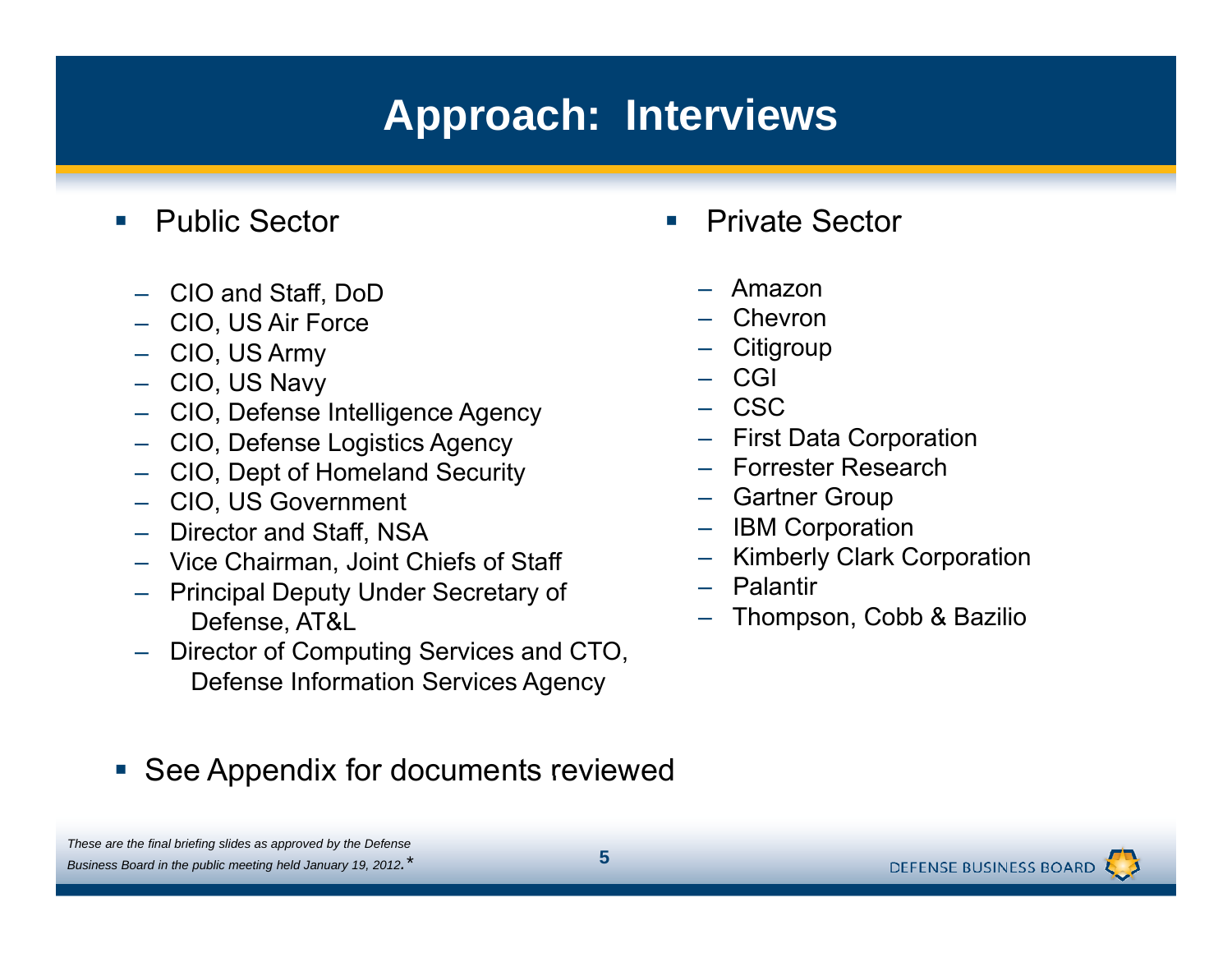# **Approach: Interviews**

- **Service Service**  Public Sector
	- CIO and Staff, DoD  $-$  Amazon
	- CIO, US Air Force
	- CIO, US Army
	- CIO, US Navy
	- CIO Defense Intelligence Agency CIO, – CSC
	- CIO, Defense Logistics Agency
	- CIO, Dept of Homeland Security
	- CIO, US Government
	- Director and Staff NSA Staff, IBM Co
	- Vice Chairman, Joint Chiefs of Staff
	- Principal Deputy Under Secretary of Defense, AT&L
	- Director of Computing Services and CTO, Defense Information Services Agency
- **Service Service**  Private Sector
	-
	- Chevron
	- Citigroup
	- CGI
	-
	- First Data Corporation
	- Forrester Research
	- Gartner Group
	- rpo ratio n – IBM Corporatio<br>– Kimberly Clark
	- Kimberly Clark Corporation
	- Palantir
	- Thompson, Cobb & Bazilio

**See Appendix for documents reviewed**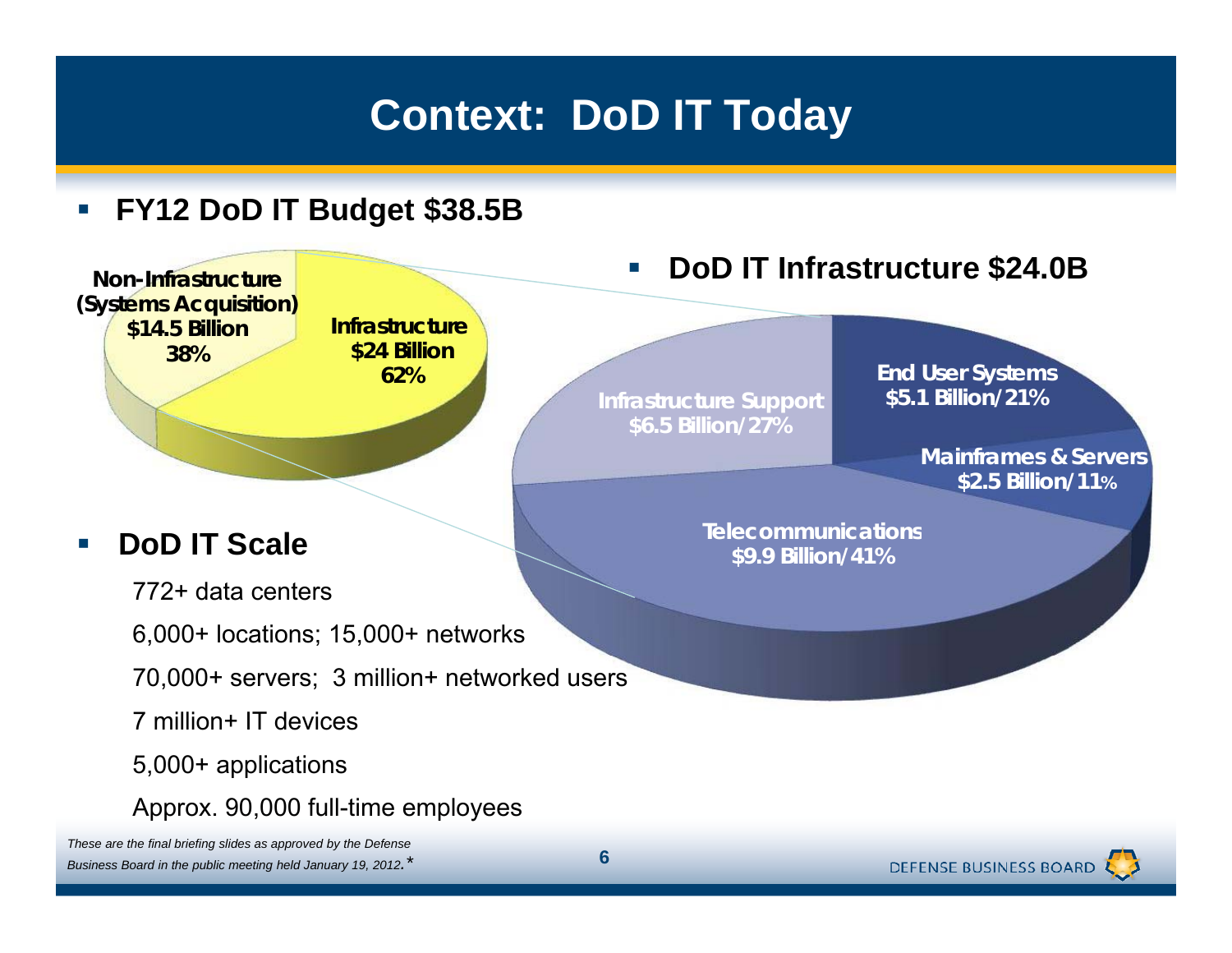# **Context: DoD IT Today**

#### $\Box$ **FY12 DoD IT Budget \$38.5B**



**DEFENSE BUSINESS BOARD**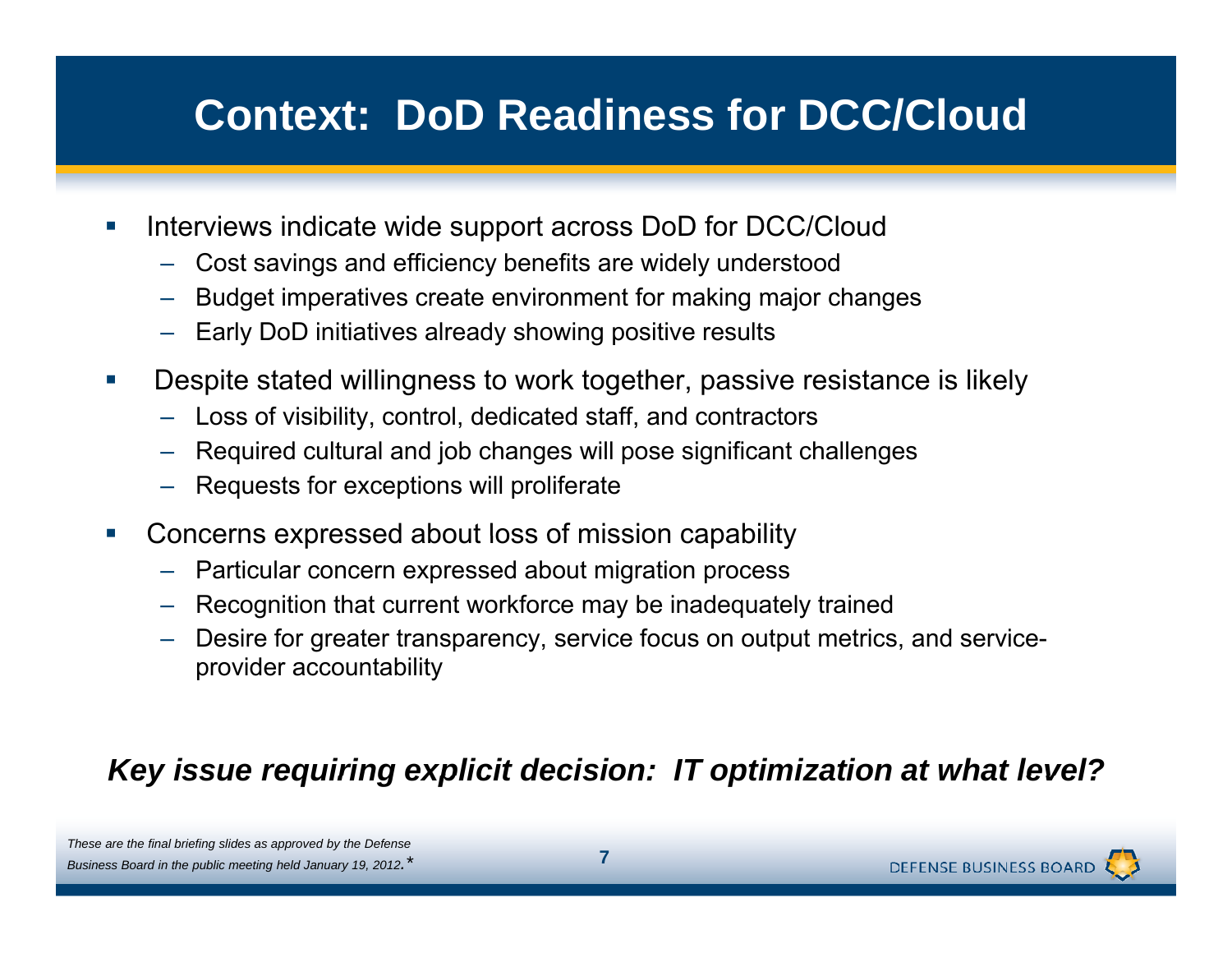# **Context: DoD Readiness for DCC/Cloud**

- $\mathcal{L}_{\mathcal{A}}$  Interviews indicate wide support across DoD for DCC/Cloud
	- Cost savings and efficiency benefits are widely understood
	- –Budget imperatives create environment for making major changes
	- Early DoD initiatives already showing positive results
- $\mathcal{L}_{\mathcal{A}}$  Despite stated willingness to work together, passive resistance is likely
	- $\,$  Loss of visibility, control, dedicated staff, and contractors
	- Required cultural and job changes will pose significant challenges
	- Requests for exceptions will proliferate
- П Concerns expressed about loss of mission capability
	- Particular concern expressed about migration process
	- –Recognition that current workforce may be inadequately trained
	- Desire for greater transparency, service focus on output metrics, and serviceprovider accountability

#### *Key issue requiring explicit decision: IT optimization at what level?*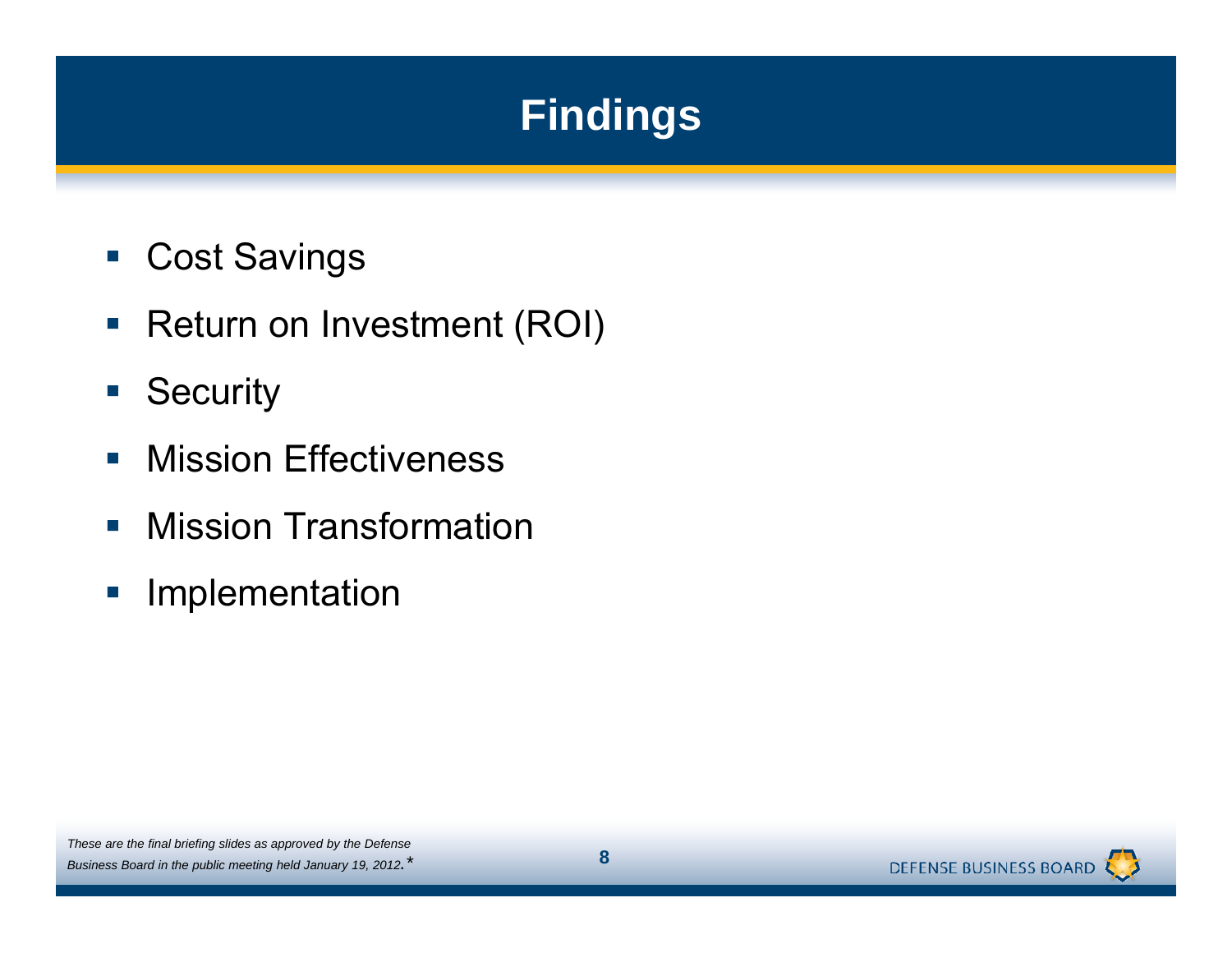# **Findings**

- $\Box$ Cost Savings
- Return on Investment (ROI)
- $\overline{\mathbb{Z}}$ **Security**
- $\overline{\phantom{a}}$ Mission Effectiveness
- **Mission Transformation**
- $\mathbb{R}^3$ Implementation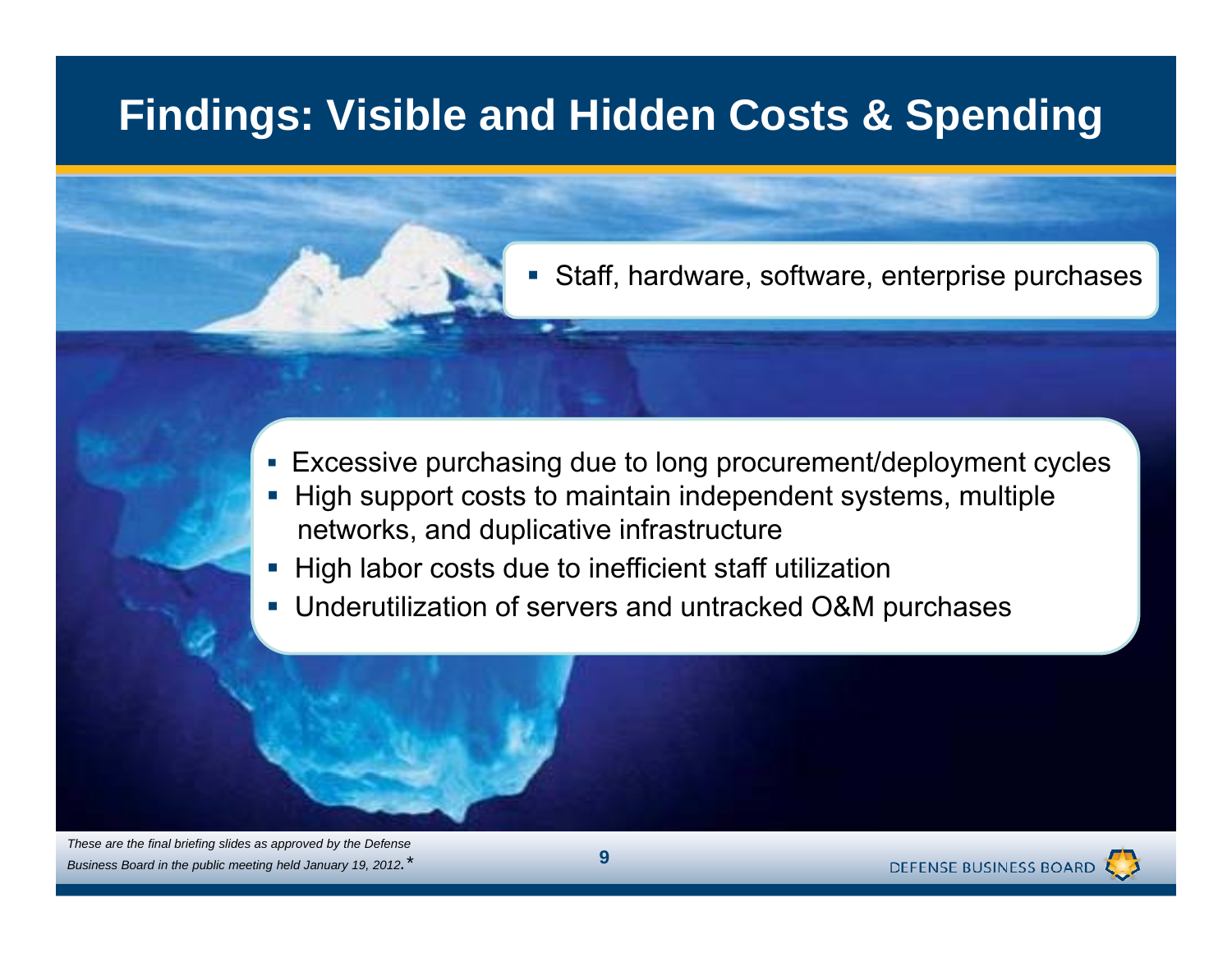# **Findings: Visible and Hidden Costs & Spending**

Staff, hardware, software, enterprise purchases

- Excessive purchasing due to long procurement/deployment cycles
- П High support costs to maintain independent systems, multiple networks, and duplicative infrastructure
- П High labor costs due to inefficient staff utilization

 $\overline{\phantom{a}}$ 

Underutilization of servers and untracked O&M purchases

*These are the final briefing slides as approved by the Defense Business Board in the public meeting held January 19, 2012.\**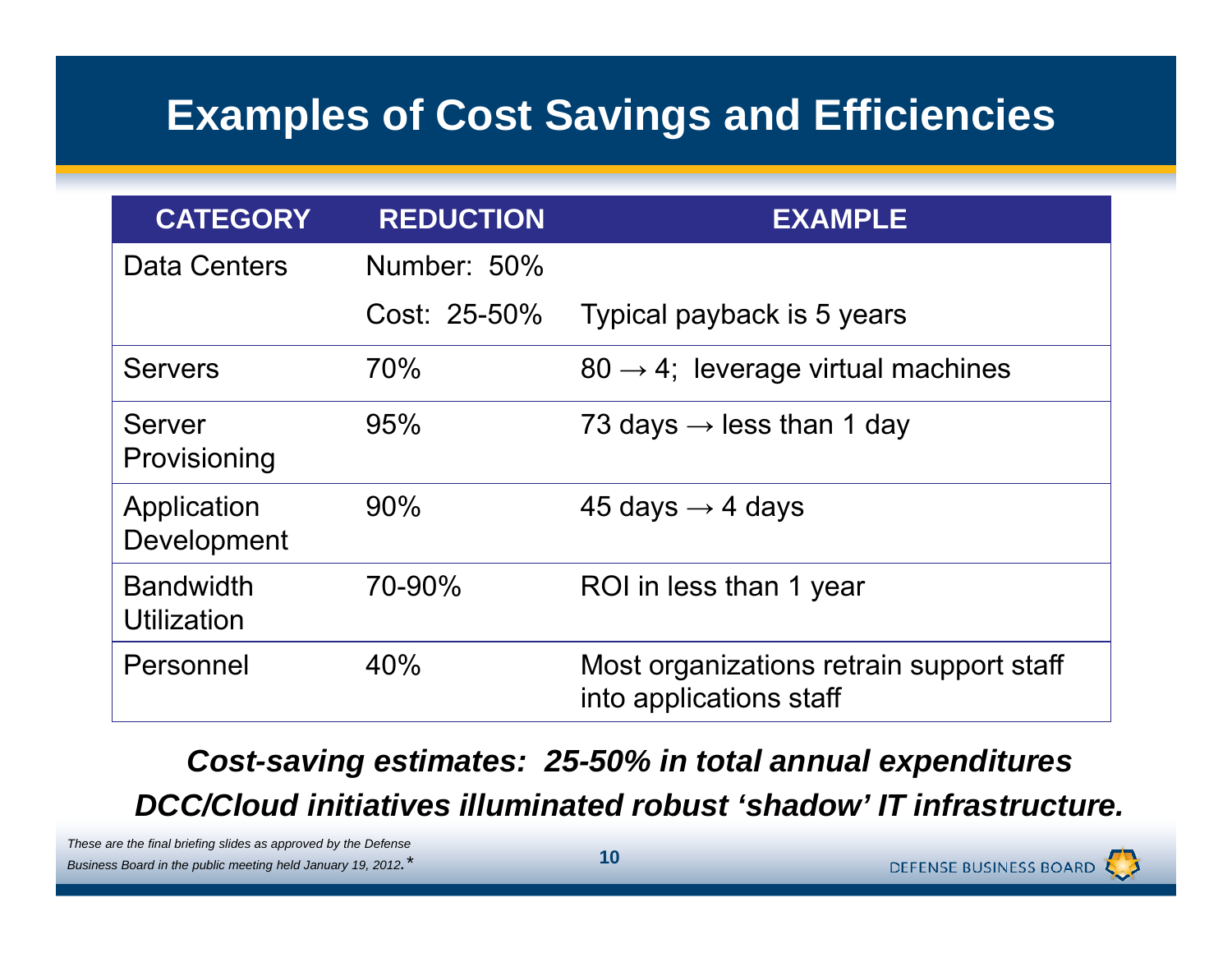# **Examples of Cost Savings and Efficiencies**

| <b>CATEGORY</b>                 | <b>REDUCTION</b> | <b>EXAMPLE</b>                                                      |
|---------------------------------|------------------|---------------------------------------------------------------------|
| <b>Data Centers</b>             | Number: 50%      |                                                                     |
|                                 | Cost: 25-50%     | Typical payback is 5 years                                          |
| <b>Servers</b>                  | 70%              | $80 \rightarrow 4$ ; leverage virtual machines                      |
| <b>Server</b><br>Provisioning   | 95%              | 73 days $\rightarrow$ less than 1 day                               |
| Application<br>Development      | 90%              | 45 days $\rightarrow$ 4 days                                        |
| <b>Bandwidth</b><br>Utilization | 70-90%           | ROI in less than 1 year                                             |
| Personnel                       | 40%              | Most organizations retrain support staff<br>into applications staff |

Cost-saving estimates: 25-50% in total annual expenditures *DCC/Cloud initiatives illuminated robust 'shadow' IT infrastructure.*

*These are the final briefing slides as approved by the Defense Business Board in the public meeting held January 19, 2012.\** **<sup>10</sup>**

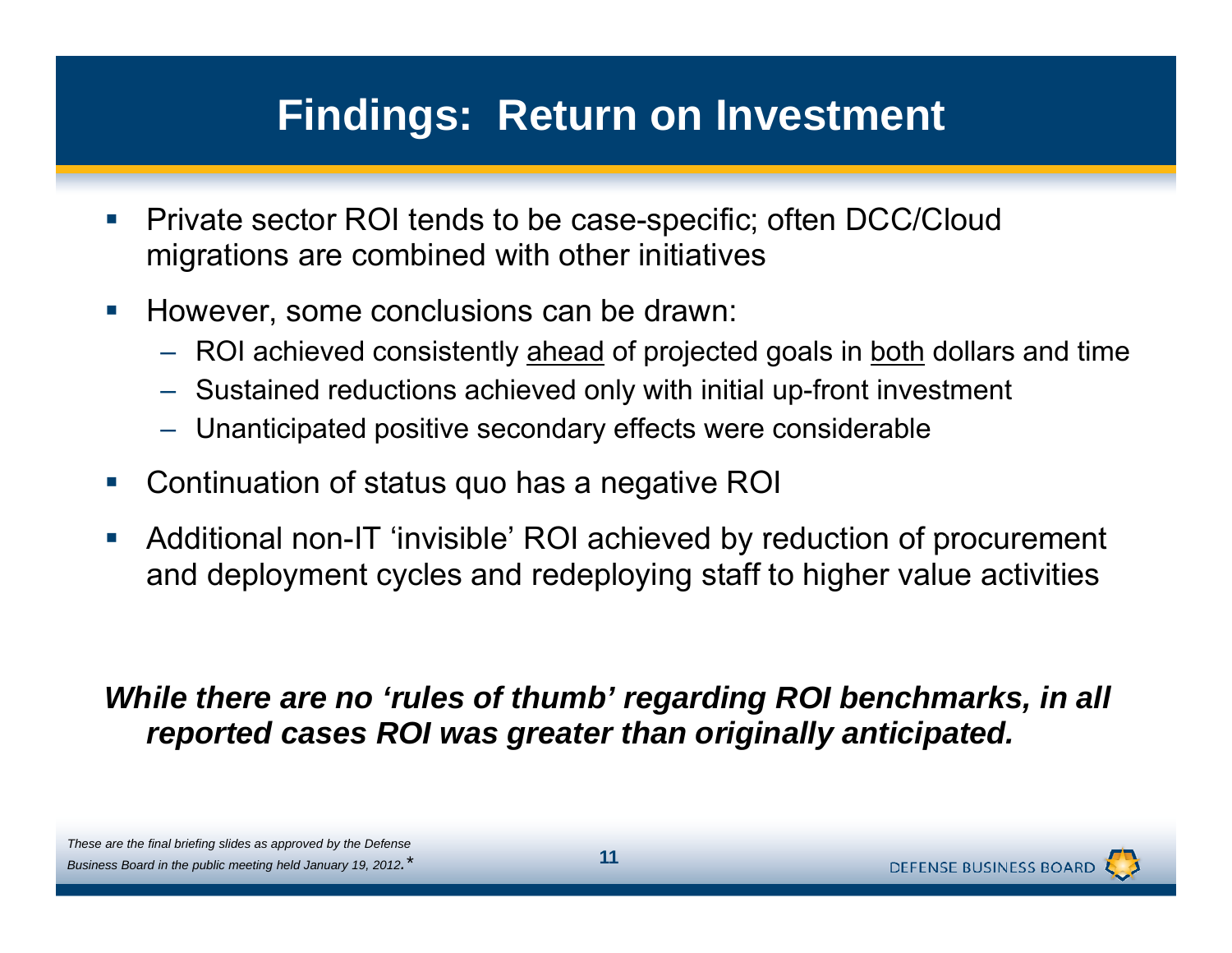### **Findings: Return on Investment**

- $\mathbb{R}^n$  Private sector ROI tends to be case-specific; often DCC/Cloud migrations are combined with other initiatives
- $\mathcal{L}_{\mathcal{A}}$  However, some conclusions can be drawn:
	- ROI achieved consistently <u>ahead</u> of projected goals in <u>both</u> dollars and time
	- Sustained reductions achieved only with initial up-front investment
	- Unanticipated positive secondary effects were considerable
- Continuation of status quo has a negative ROI
- $\overline{\phantom{a}}$ • Additional non-IT 'invisible' ROI achieved by reduction of procurement and deployment cycles and redeploying staff to higher value activities

#### *While there are no 'rules of thumb' regarding ROI benchmarks, in all reported cases ROI was greater than originally anticipated.*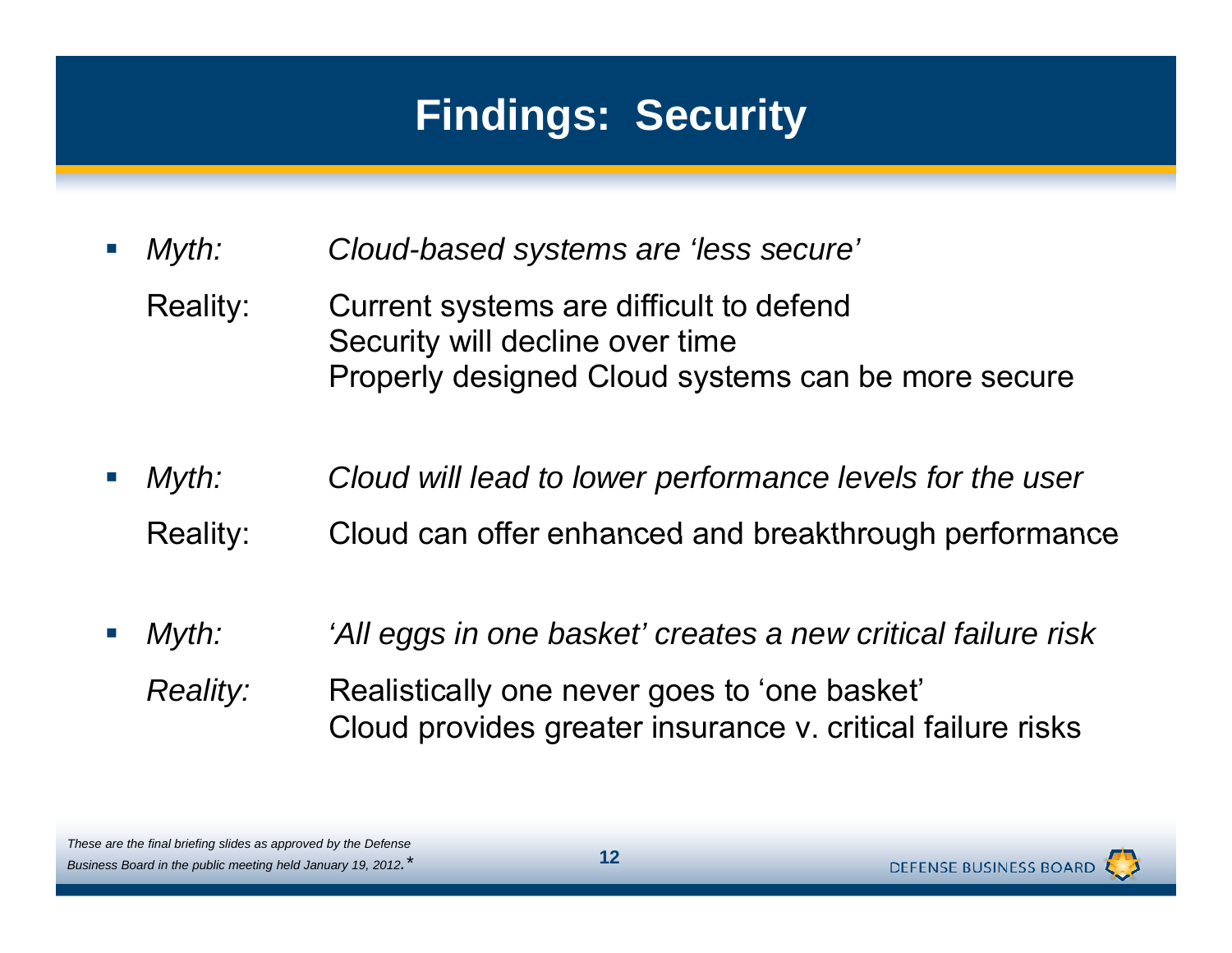# **Findings: Security**

 $\mathcal{C}^{\mathcal{A}}$ *Myth: Cloud-based systems are 'less secure'*

- Realit Current systems are difficult to defend Security will decline over time Properly designed Cloud systems can be more secure
- $\mathcal{C}^{\mathcal{A}}$  *Myth: Cloud will lead to lower performance levels for the user* Reality: Cloud can offer enhanced and breakthrough performance
- *Myth: 'All eggs in one basket' creates a new critical failure risk Reality:* Realistically one never goes to 'one basket' Cloud provides greater insurance v. critical failure risks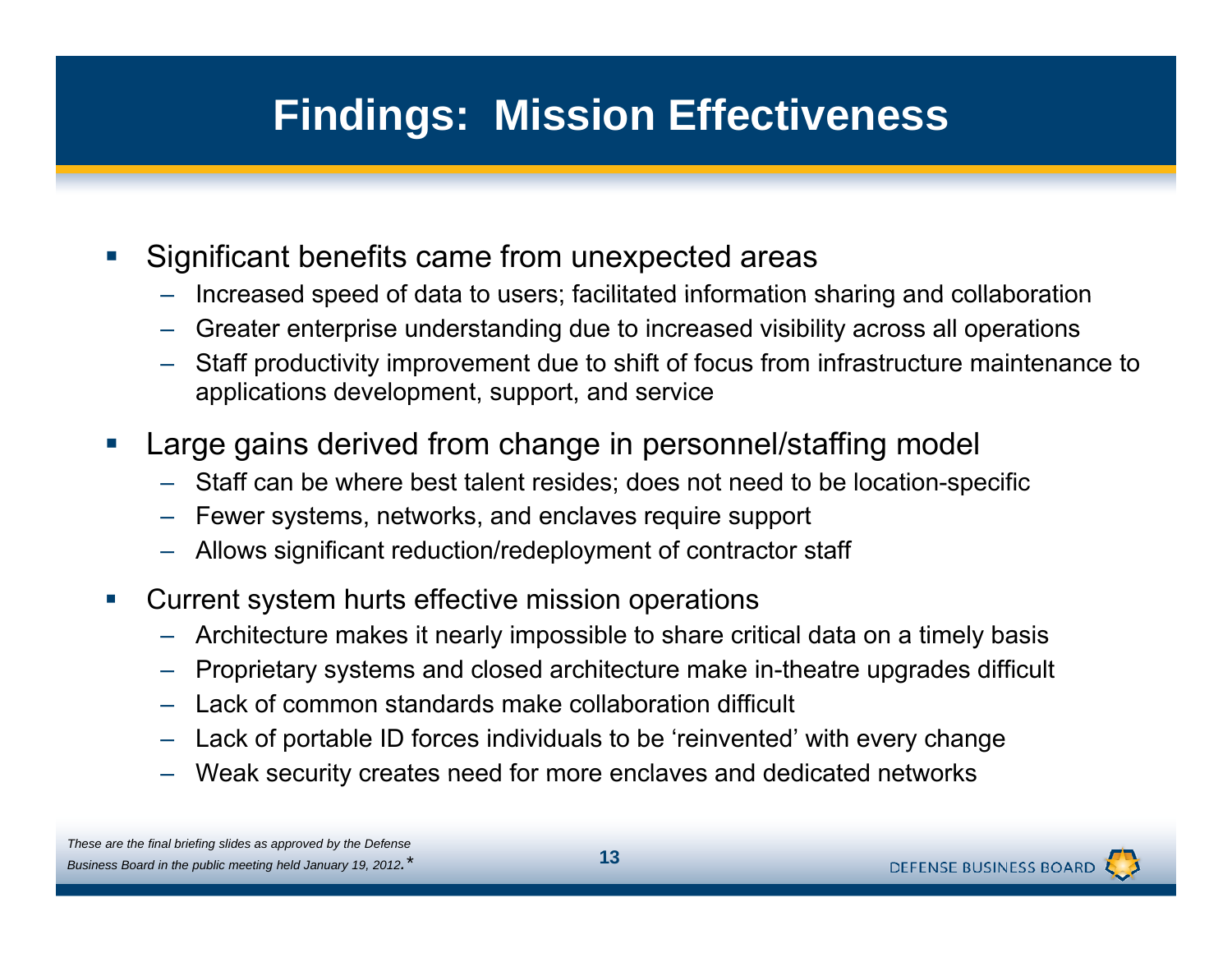# **Findings: Mission Effectiveness**

- $\mathcal{C}^{\mathcal{A}}$  Significant benefits came from unexpected areas
	- –Increased speed of data to users; facilitated information sharing and collaboration
	- Greater enterprise understanding due to increased visibility across all operations
	- Staff productivity improvement due to shift of focus from infrastructure maintenance to applications development, support, and service
- **Service Service**  Large gains derived from change in personnel/staffing model
	- Staff can be where best talent resides; does not need to be location-specific
	- –Fewer systems, networks, and enclaves require support
	- Allows significant reduction/redeployment of contractor staff
- $\mathcal{L}_{\mathcal{A}}$  Current system hurts effective mission operations
	- Architecture makes it nearly impossible to share critical data on a timely basis
	- Proprietary systems and closed architecture make in-theatre upgrades difficult
	- Lack of common standards make collaboration difficult
	- –Lack of portable ID forces individuals to be 'reinvented' with every change
	- Weak security creates need for more enclaves and dedicated networks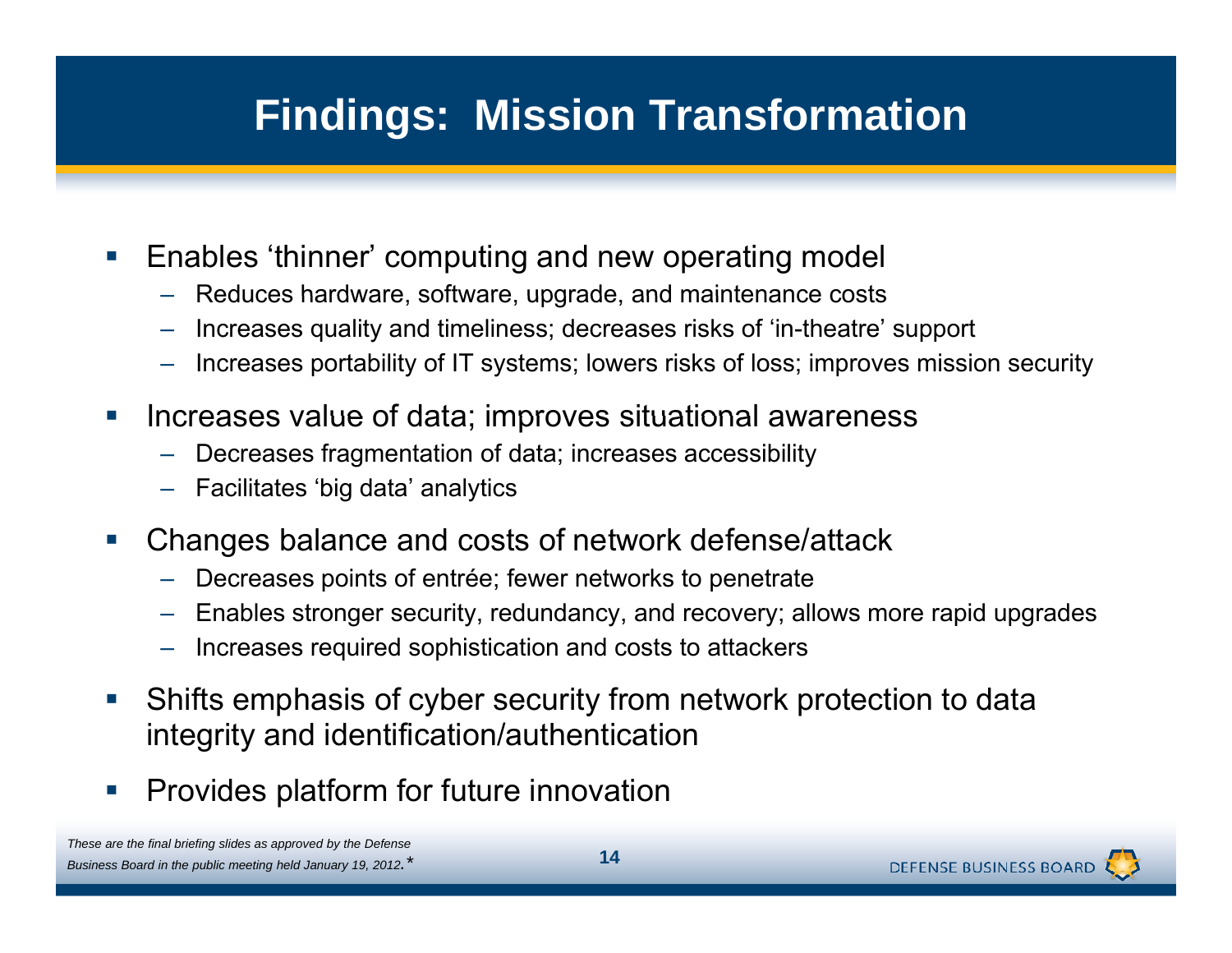# **Findings: Mission Transformation**

- $\mathbb{R}^n$  Enables 'thinner' computing and new operating model
	- $-$  Reduces hardware, software, upgrade, and maintenance costs
	- –Increases quality and timeliness; decreases risks of 'in-theatre' support
	- Increases portability of IT systems; lowers risks of loss; improves mission security
- $\mathcal{C}^{\mathcal{A}}$ Increases value of data; improves situational awareness
	- –Decreases fragmentation of data; increases accessibility
	- Facilitates 'big data' analytics
- $\mathcal{L}(\mathcal{L})$  Changes balance and costs of network defense/attack
	- –Decreases points of entrée; fewer networks to penetrate
	- –Enables stronger security, redundancy, and recovery; allows more rapid upgrades
	- Increases required sophistication and costs to attackers
- $\mathcal{L}_{\mathcal{A}}$  Shifts emphasis of cyber security from network protection to data integrity and identification/authentication
- $\mathbb{R}^n$ Provides platform for future innovation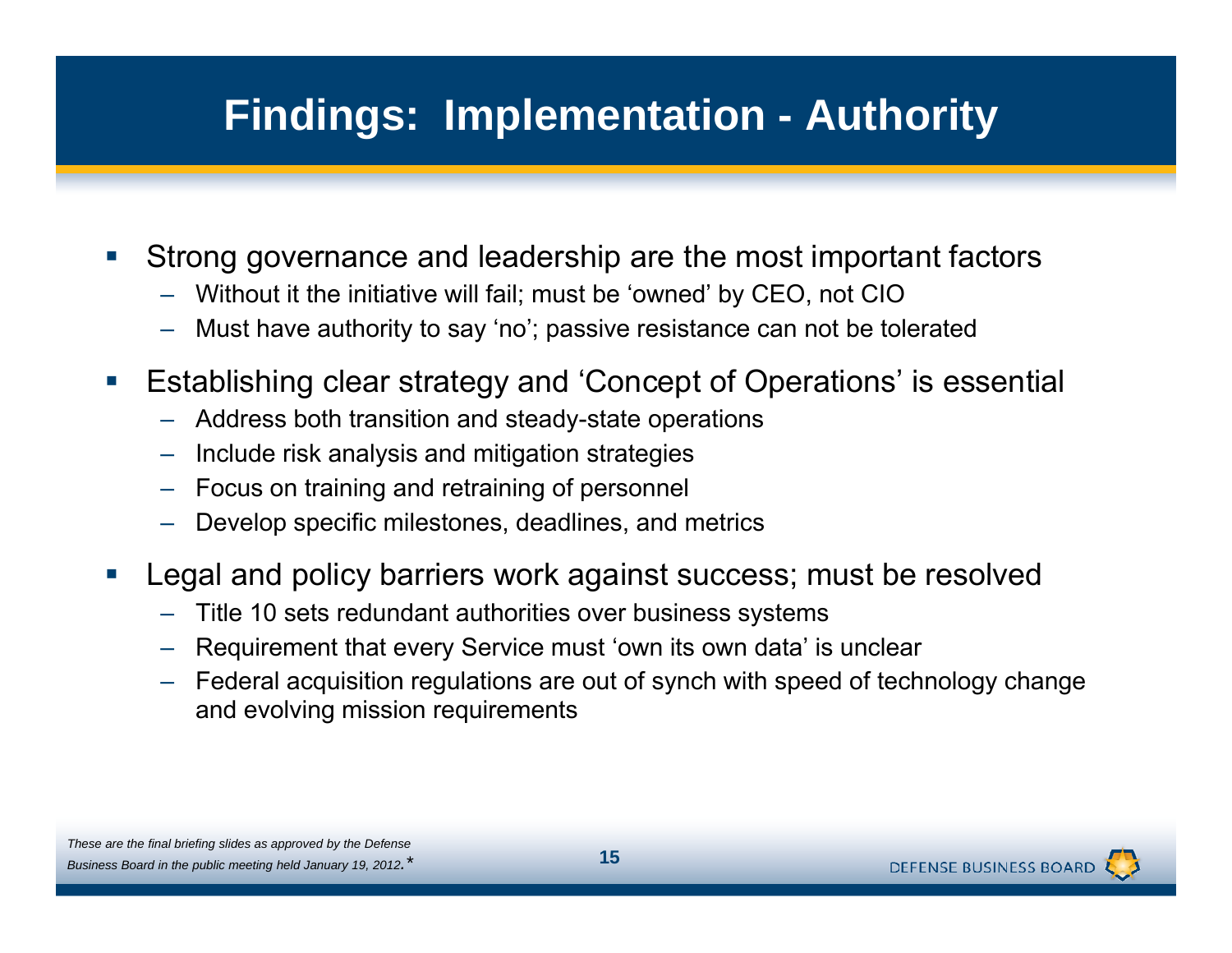# **Findings: Implementation - Authority**

- $\mathcal{C}^{\mathcal{A}}$  Strong governance and leadership are the most important factors
	- Without it the initiative will fail; must be 'owned' by CEO, not CIO
	- Must have authority to say 'no'; passive resistance can not be tolerated
- $\left\vert \cdot \right\rangle$  Establishing clear strategy and 'Concept of Operations' is essential
	- $\,$  Address both transition and steady-state operations
	- –Include risk analysis and mitigation strategies
	- –Focus on training and retraining of personnel
	- Develo p p s pecific milestones, deadlines, and metrics
- **Service Service**  Legal and policy barriers work against success; must be resolved
	- –Title 10 sets redundant authorities over business systems
	- –Requirement that every Service must 'own its own data' is unclear
	- – Federal acquisition regulations are out of synch with speed of technology change and evolving mission requirements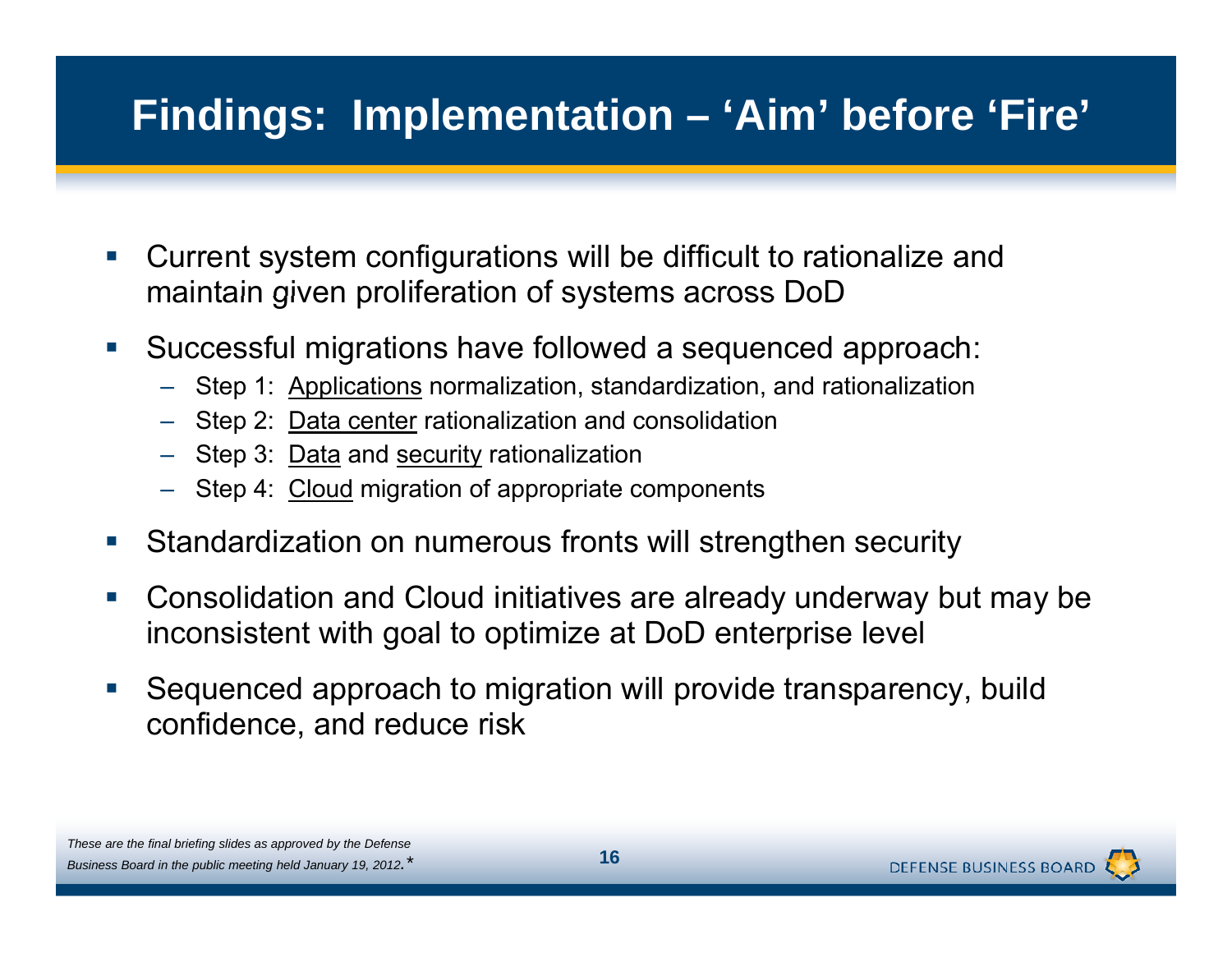### **Findings: Implementation – 'Aim' before 'Fire'**

- $\mathcal{C}^{\mathcal{A}}$  Current system configurations will be difficult to rationalize and maintain given proliferation of systems across DoD
- $\mathcal{L}_{\mathcal{A}}$  Successful migrations have followed a sequenced approach:
	- Step 1: Applications normalization, standardization, and rationalization
	- Step 2: <u>Data center</u> rationalization and consolidation
	- Step 3: <u>Data</u> and <u>security</u> rationalization
	- Step 4: Cloud migration of appropriate components
- $\mathcal{L}_{\mathcal{A}}$ • Standardization on numerous fronts will strengthen security
- $\mathcal{L}_{\mathcal{A}}$  Consolidation and Cloud initiatives are already underway but may be inconsistent with goal to optimize at DoD enterprise level
- $\mathcal{L}_{\mathcal{A}}$  Sequenced approach to migration will provide transparency, build confidence, and reduce risk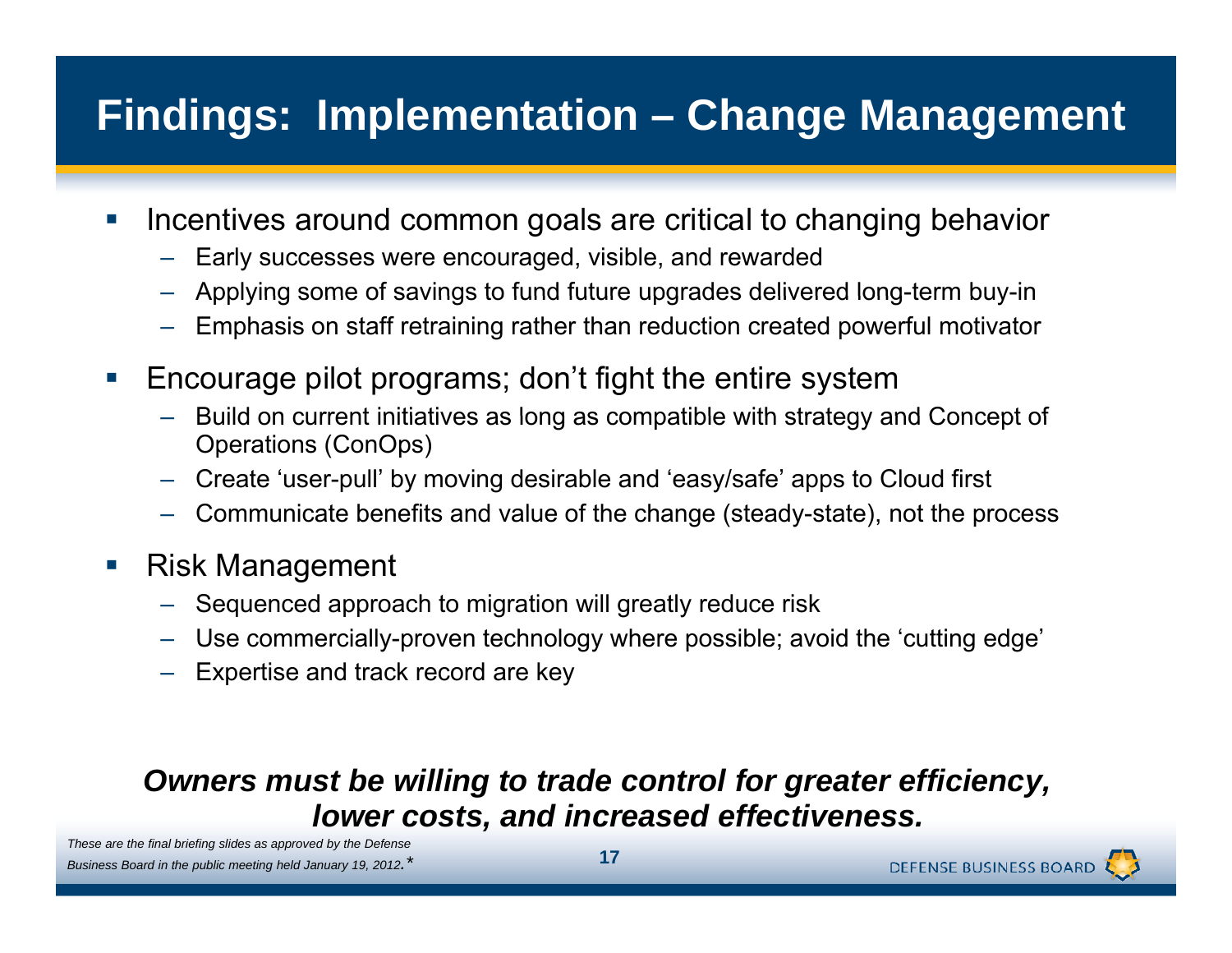# **Findings: Implementation – Change Management**

- $\mathbb{R}^n$  Incentives around common goals are critical to changing behavior
	- –Early successes were encouraged, visible, and rewarded
	- Applying some of savings to fund future upgrades delivered long-term buy-in
	- Emphasis on staff retraining rather than reduction created powerful motivator
- $\mathcal{L}_{\mathcal{A}}$  Encourage pilot programs; don't fight the entire system
	- Build on current initiatives as long as compatible with strategy and Concept of Operations (ConOps)
	- –Create 'user-pull' by moving desirable and 'easy/safe' apps to Cloud first
	- Communicate benefits and value of the change (steady-state), not the process
- $\mathbb{R}^n$  Risk Management
	- Sequenced approach to migration will greatly reduce risk
	- Use commercially-proven technology where possible; avoid the 'cutting edge'
	- Expertise and track record are key

#### *Owners must be willing to trade control for greater efficiency efficiency, lower costs, and increased effectiveness.*

*These are the final briefing slides as approved by the Defense Business Board in the public meeting held January 19, 2012.\** **<sup>17</sup>**

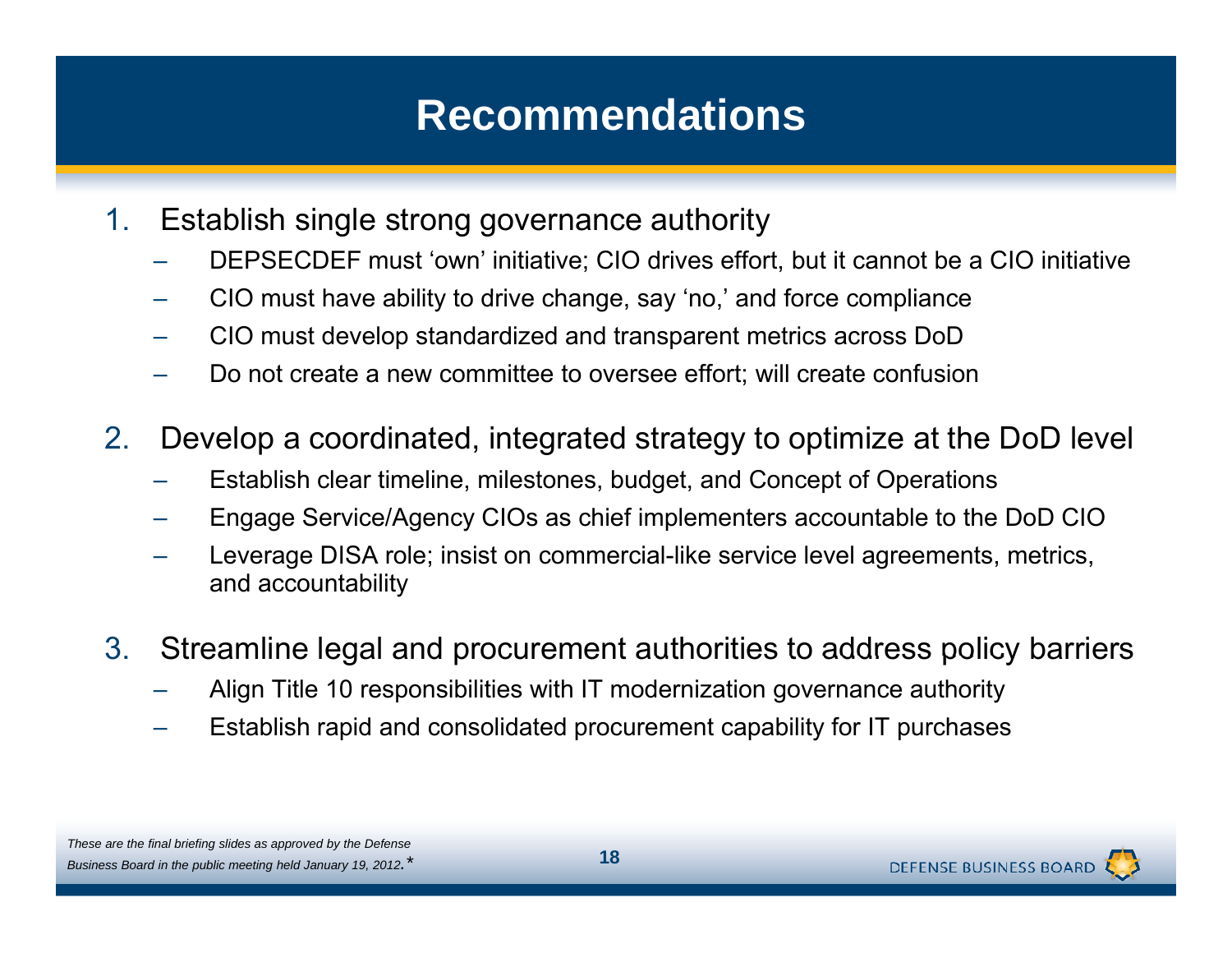### **Recommendations**

- 1. Establish single strong governance authority
	- DEPSECDEF must 'own' initiative; CIO drives effort, but it cannot be a CIO initiative
	- CIO must have ability to drive change, say 'no,' and force compliance
	- CIO must develop standardized and transparent metrics across DoD
	- Do not create a new committee to oversee effort; will create confusion
- 2. Develop a coordinated, integrated strategy to optimize at the DoD level
	- Establish clear timeline, milestones, budget, and Concept of Operations
	- Engage Service/Agency CIOs as chief implementers accountable to the DoD CIO
	- Leverage DISA role; insist on commercial-like service level agreements, metrics, and accountability
- 3. Streamline legal and procurement authorities to address policy barriers
	- Align Title 10 responsibilities with IT modernization governance authority
	- Establish rapid and consolidated procurement capability for IT purchases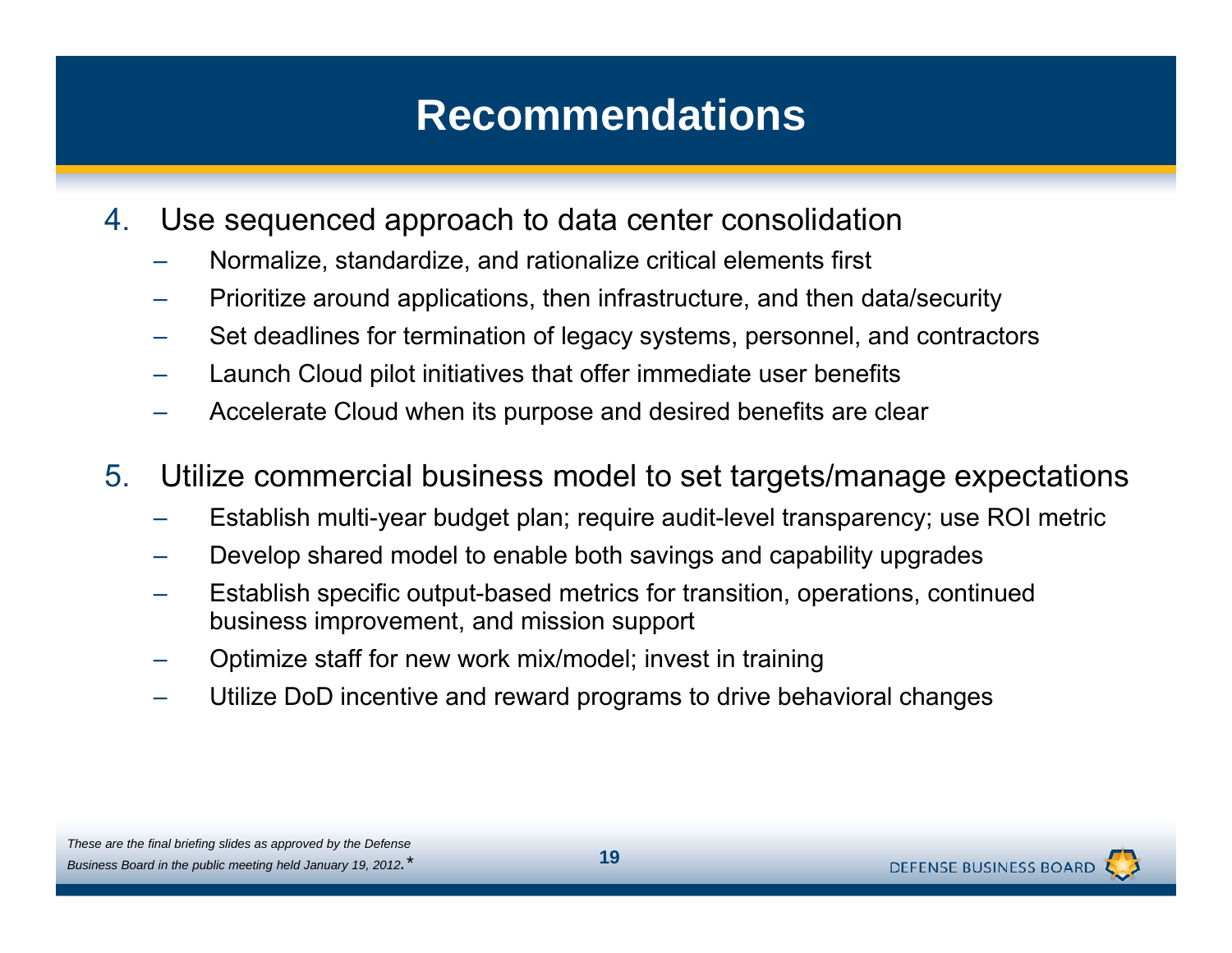### **Recommendations**

- 4. Use sequenced approach to data center consolidation
	- Normalize, standardize, and rationalize critical elements first
	- Prioritize around applications, then infrastructure, and then data/security
	- Set deadlines for termination of legacy systems, personnel, and contractors
	- Launch Cloud pilot initiatives that offer immediate user benefits
	- Accelerate Cloud when its purpose and desired benefits are clear

#### 5.Utilize commercial business model to set targets/manage expectations

- Establish multi-year budget plan; require audit-level transparency; use ROI metric
- Develop shared model to enable both savings and capability upgrades
- Establish specific output-based metrics for transition, operations, continued business improvement, and mission support
- Optimize staff for new work mix/model; invest in training
- Utilize DoD incentive and reward programs to drive behavioral changes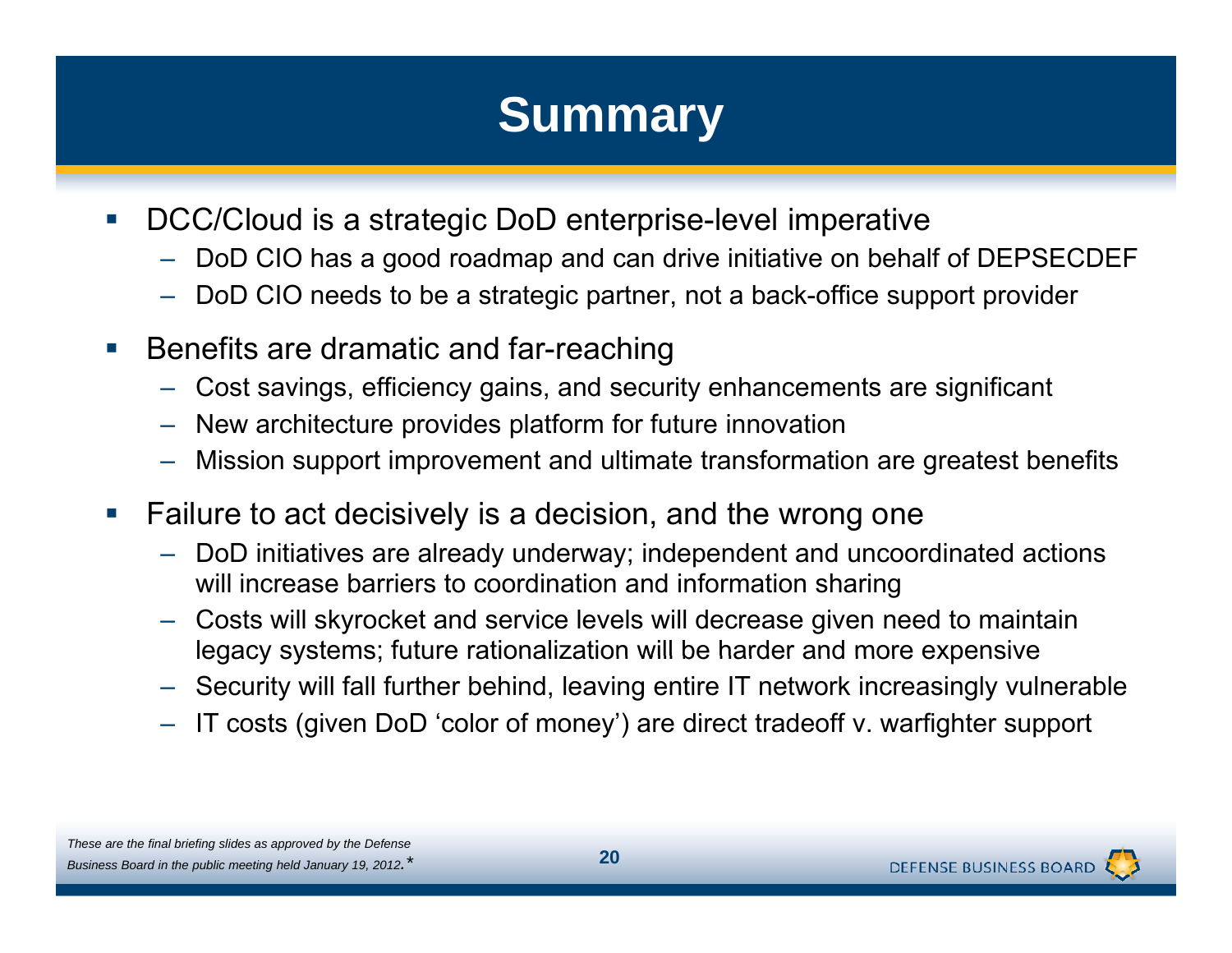# **Summary**

- $\left\vert \cdot \right\rangle$  DCC/Cloud is a strategic DoD enterprise-level imperative
	- –DoD CIO has a good roadmap and can drive initiative on behalf of DEPSECDEF
	- $\,$  DoD CIO needs to be a strategic partner, not a back-office support provider
- $\mathcal{C}^{\mathcal{A}}$  Benefits are dramatic and far-reaching
	- Cost savings, efficiency gains, and security enhancements are significant
	- $\,$  New architecture provides platform for future innovation
	- Mission support improvement and ultimate transformation are greatest benefits
- $\mathcal{L}_{\mathcal{A}}$  Failure to act decisively is a decision, and the wrong one
	- – DoD initiatives are already underway; independent and uncoordinated actions will increase barriers to coordination and information sharing
	- Costs will skyrocket and service levels will decrease given need to maintain legacy systems; future rationalization will be harder and more expensive
	- Security will fall further behind, leaving entire IT network increasingly vulnerable
	- IT costs (given DoD 'color of money') are direct tradeoff v. warfighter support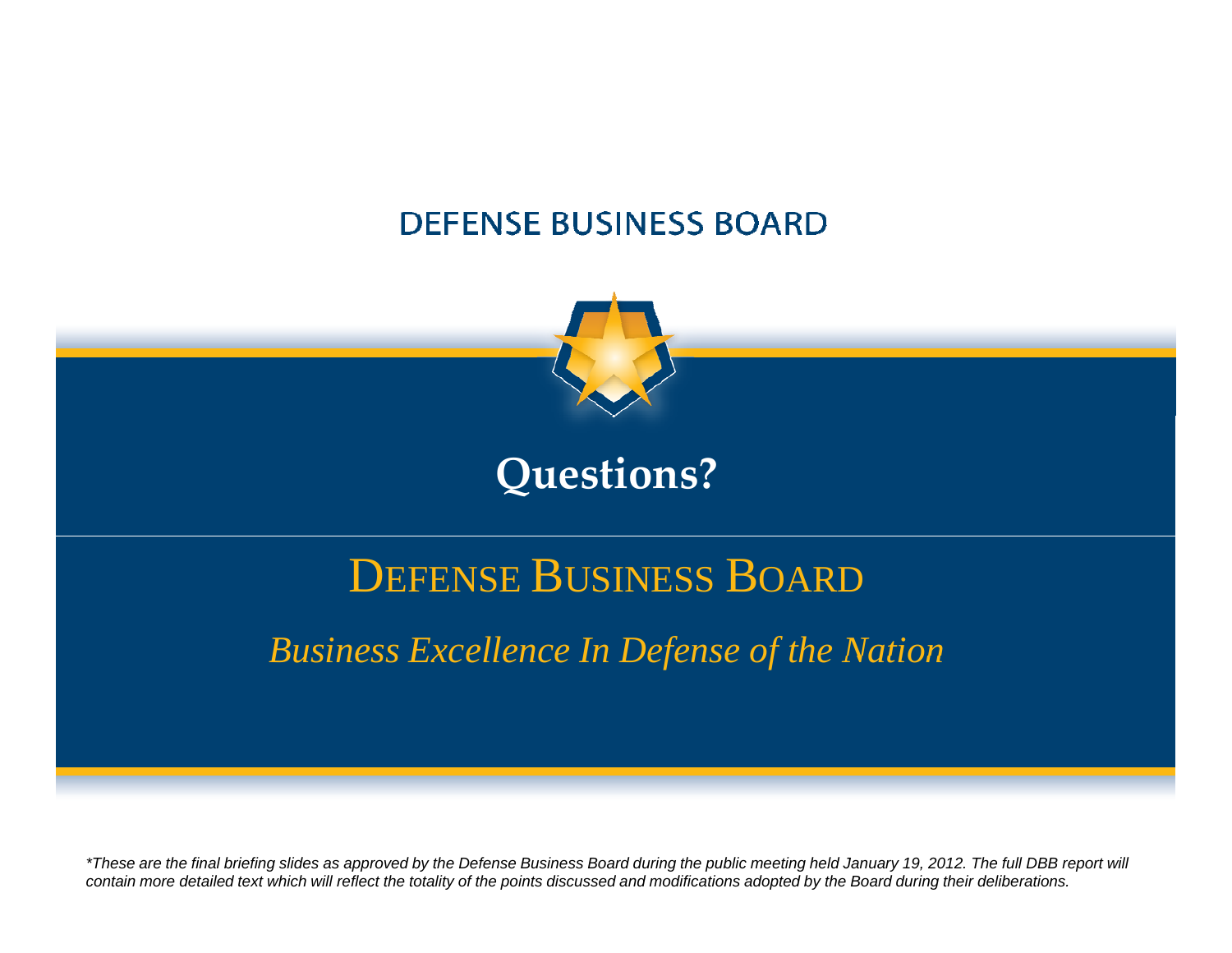#### **DEFENSE BUSINESS BOARD**



### **Questions?**

# DEFENSE BUSINESS BOARD

### *Business Excellence In Defense of the Nation of Nation*

*\*These are the final briefing slides as approved by the Defense Business Board during the public meeting held January 19, 2012. The full DBB report will*  contain more detailed text which will reflect the totality of the points discussed and modifications adopted by the Board during their deliberations.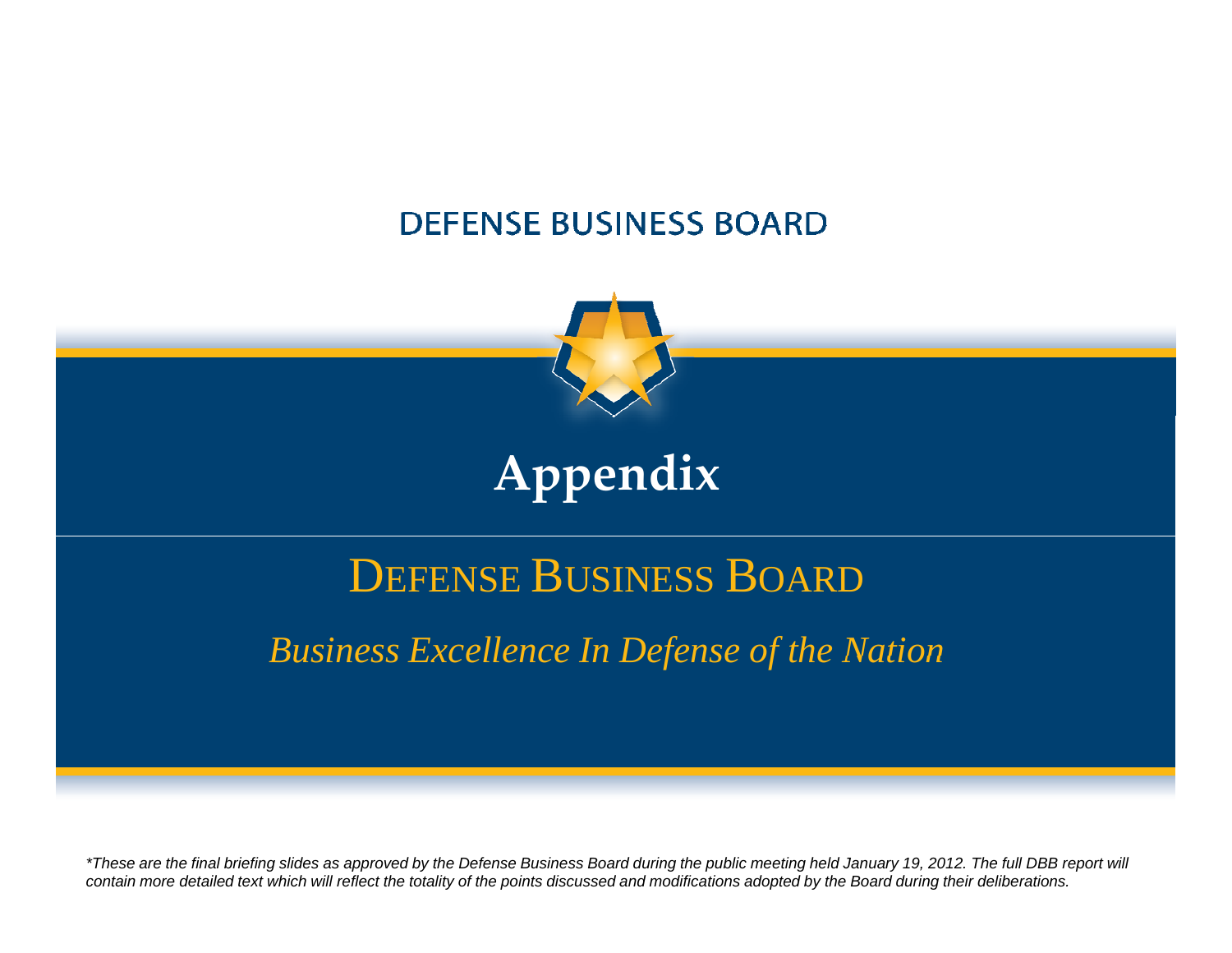#### **DEFENSE BUSINESS BOARD**



# **Appendix**

# DEFENSE BUSINESS BOARD

### *Business Excellence In Defense of the Nation of Nation*

*\*These are the final briefing slides as approved by the Defense Business Board during the public meeting held January 19, 2012. The full DBB report will*  contain more detailed text which will reflect the totality of the points discussed and modifications adopted by the Board during their deliberations.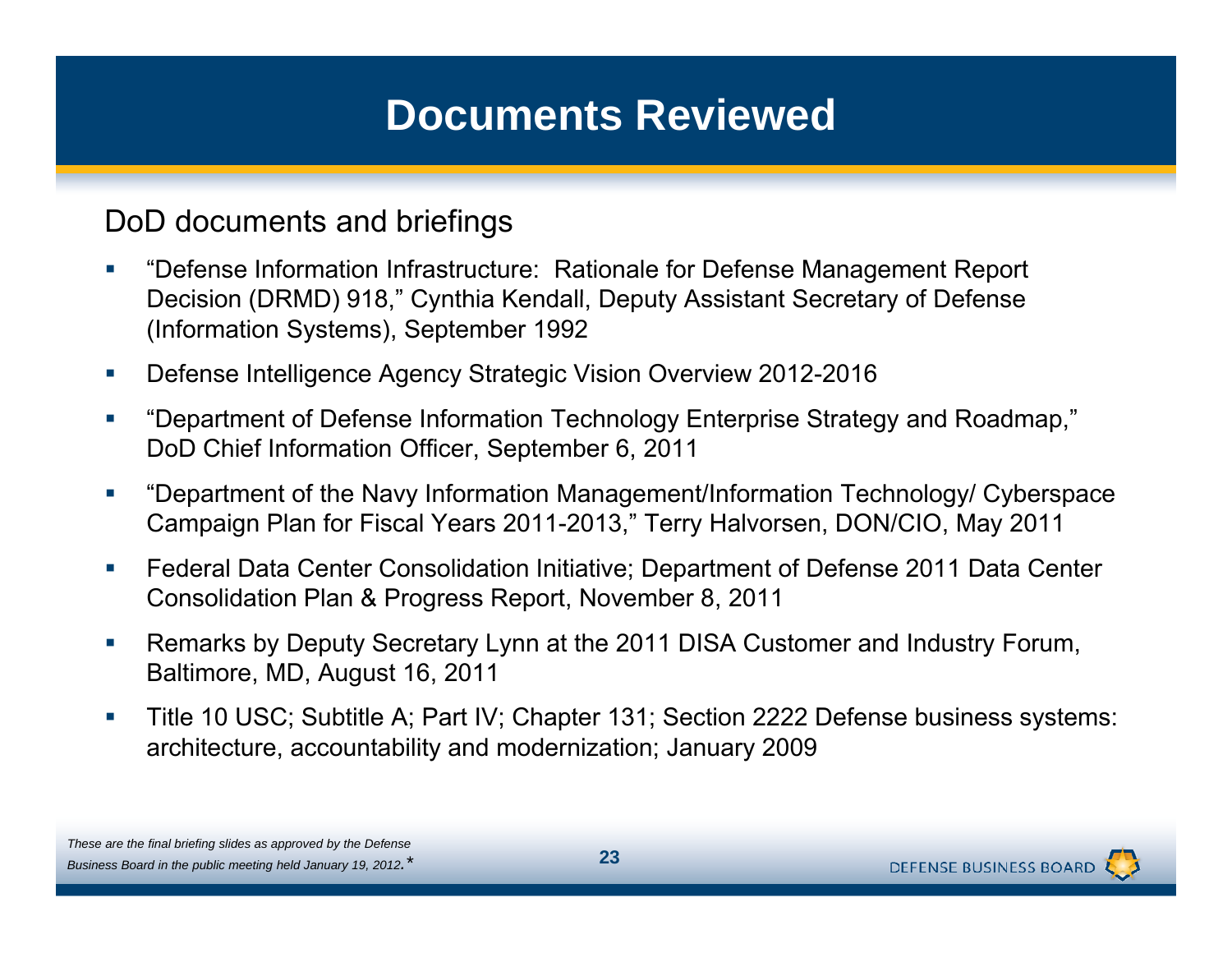DoD documents and briefings

- $\mathcal{L}_{\mathcal{A}}$  "Defense Information Infrastructure: Rationale for Defense Management Report Decision (DRMD) 918," Cynthia Kendall, Deputy Assistant Secretary of Defense (Information Systems), September 1992
- $\mathcal{C}$ Defense Intelligence Agency Strategic Vision Overview 2012-2016
- $\overline{\phantom{a}}$ "Department of Defense Information Technology Enterprise Strategy and Roadmap." DoD Chief Information Officer, September 6, 2011
- $\mathcal{L}_{\mathcal{A}}$  "Department of the Navy Information Management/Information Technology/ Cyberspace Campaign Plan for Fiscal Years 2011-2013," Terry Halvorsen, DON/CIO, May 2011
- $\mathcal{L}_{\mathcal{A}}$  Federal Data Center Consolidation Initiative; Department of Defense 2011 Data Center Consolidation Plan & Progress Report, November 8, 2011
- $\mathcal{L}_{\mathcal{A}}$ • Remarks by Deputy Secretary Lynn at the 2011 DISA Customer and Industry Forum, Baltimore, MD, August 16, 2011
- $\mathcal{L}_{\mathcal{A}}$  Title 10 USC; Subtitle A; Part IV; Chapter 131; Section 2222 Defense business systems: architecture, accountability and modernization; January 2009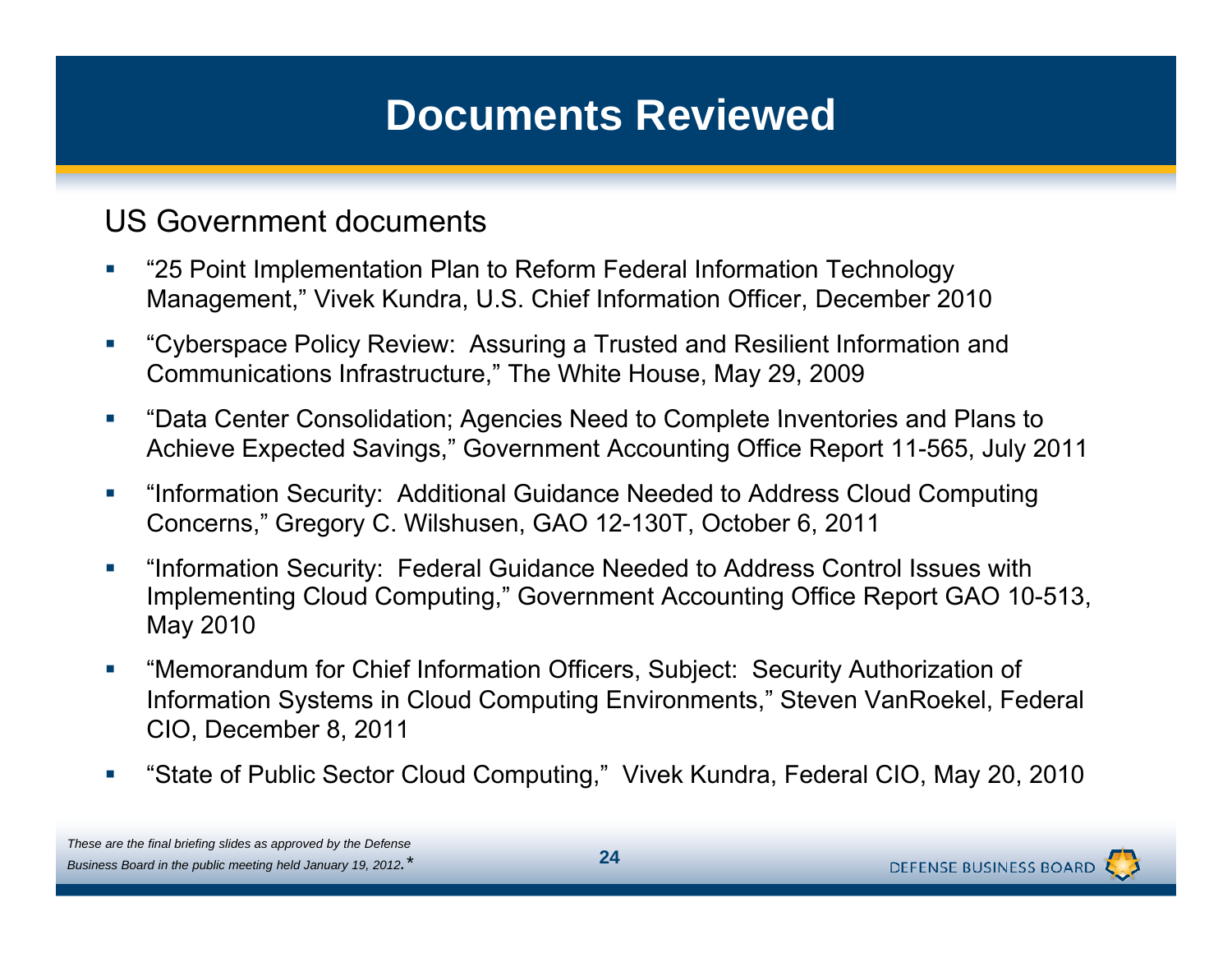#### US Government documents

- $\mathcal{L}_{\mathcal{A}}$  "25 Point Implementation Plan to Reform Federal Information Technology Management," Vivek Kundra, U.S. Chief Information Officer, December 2010
- $\mathcal{L}_{\mathcal{A}}$  "Cyberspace Policy Review: Assuring a Trusted and Resilient Information and Communications Infrastructure," The White House, May 29, 2009
- $\overline{\phantom{a}}$ "Data Center Consolidation; Agencies Need to Complete Inventories and Plans to Achieve Expected Savings," Government Accounting Office Report 11-565, July 2011
- $\mathcal{L}_{\mathcal{A}}$  "Information Security: Additional Guidance Needed to Address Cloud Computing Concerns," Gregory C. Wilshusen, GAO 12-130T, October 6, 2011
- $\mathcal{L}_{\mathcal{A}}$  "Information Security: Federal Guidance Needed to Address Control Issues with Implementing Cloud Computing," Government Accounting Office Report GAO 10-513, May 2010
- Ī. "Memorandum for Chief Information Officers, Subject: Security Authorization of Information Systems in Cloud Computing Environments," Steven VanRoekel, Federal CIO, December 8, 2011
- $\mathcal{C}$ ■ "State of Public Sector Cloud Computing," Vivek Kundra, Federal CIO, May 20, 2010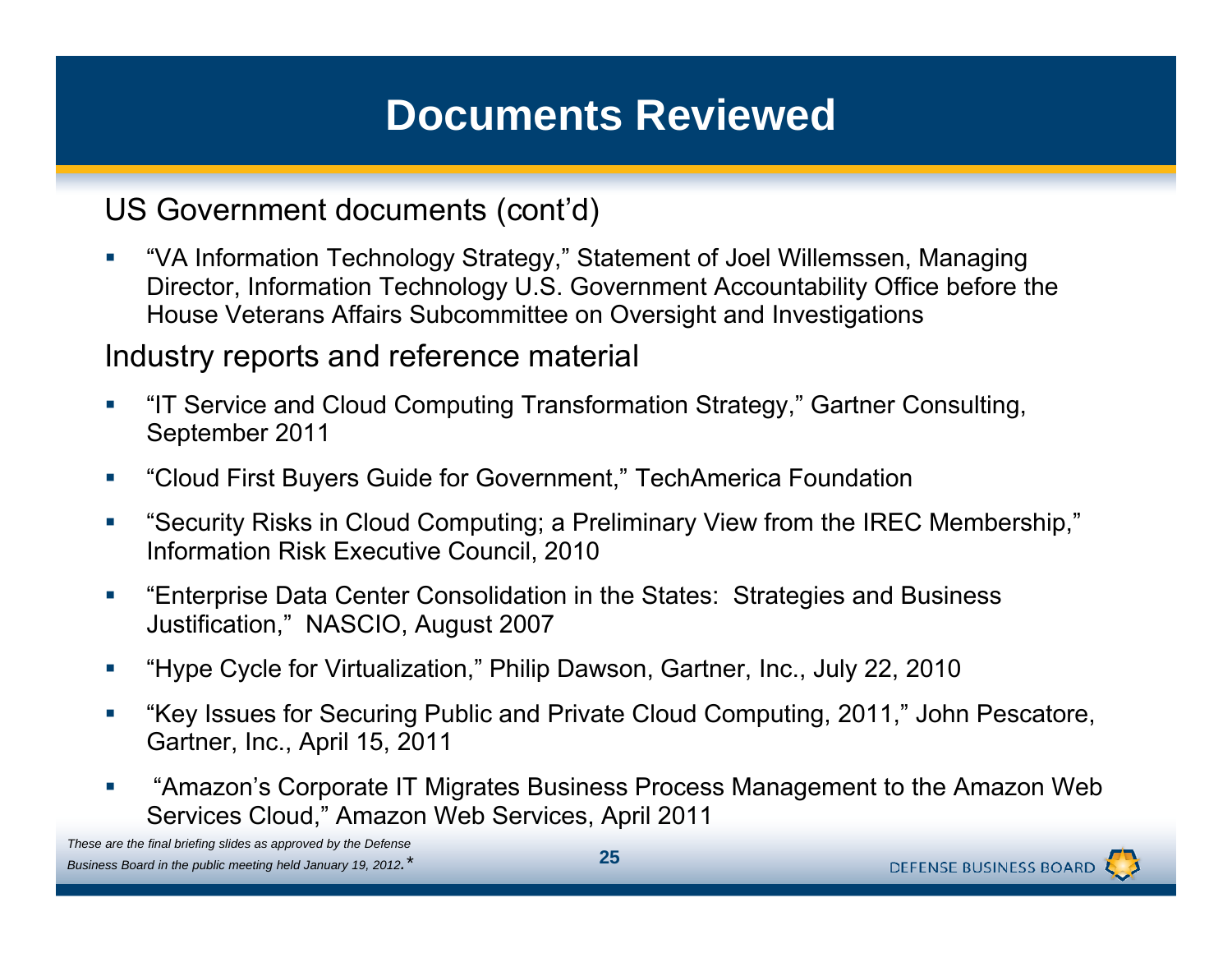US Government documents (cont'd)

 $\mathcal{L}_{\mathcal{A}}$  "VA Information Technology Strategy," Statement of Joel Willemssen, Managing Director, Information Technology U.S. Government Accountability Office before the House Veterans Affairs Subcommittee on Oversight and Investigations

#### Industry reports and reference material

- $\mathcal{C}$ ■ "IT Service and Cloud Computing Transformation Strategy," Gartner Consulting, September 2011
- $\mathcal{C}$ "Cloud First Buyers Guide for Government," TechAmerica Foundation
- $\mathcal{L}_{\mathcal{A}}$ • "Security Risks in Cloud Computing; a Preliminary View from the IREC Membership," Information Risk Executive Council, 2010
- $\mathcal{C}$  "Enterprise Data Center Consolidation in the States: Strategies and Business Justification," NASCIO, August 2007
- $\mathcal{C}$ "Hype Cycle for Virtualization," Philip Dawson, Gartner, Inc., July 22, 2010
- $\mathcal{C}$  "Key Issues for Securing Public and Private Cloud Computing, 2011," John Pescatore, Gartner, Inc., April 15, 2011
- $\overline{\phantom{a}}$  "Amazon's Corporate IT Migrates Business Process Management to the Amazon Web Services Cloud," Amazon Web Services, April 2011

*These are the final briefing slides as approved by the Defense Business Board in the public meeting held January 19, 2012.\** **<sup>25</sup>**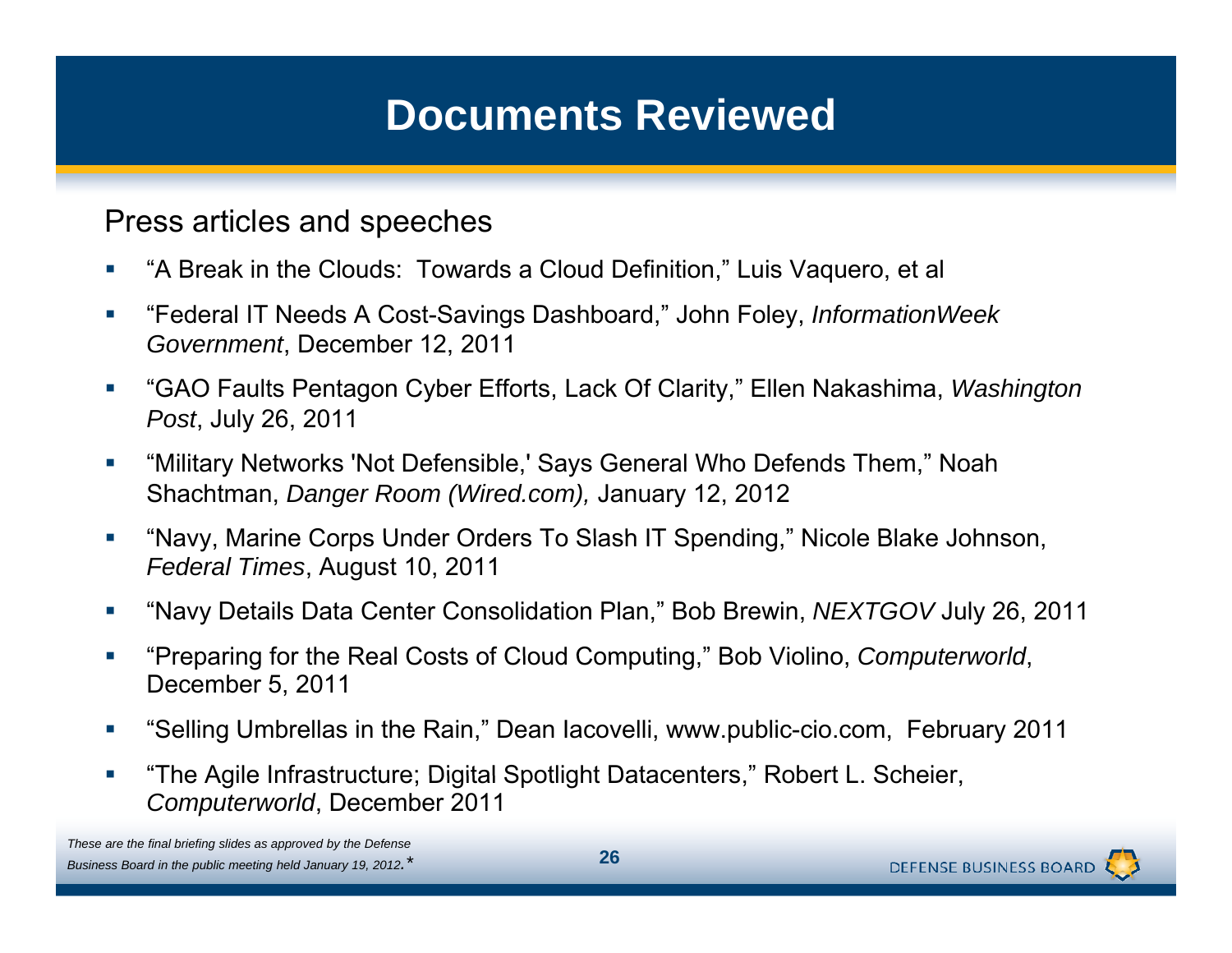Press articles and speeches

- $\mathcal{L}_{\mathcal{A}}$ "A Break in the Clouds: Towards a Cloud Definition," Luis Vaquero, et al
- $\overline{\phantom{a}}$  "Federal IT Needs A Cost-Savings Dashboard," John Foley, *InformationWeek Government*, December 12, 2011
- $\mathcal{C}$  "GAO Faults Pentagon Cyber Efforts, Lack Of Clarity," Ellen Nakashima, *Washington Post*, July 26, 2011
- T. "Military Networks 'Not Defensible,' Says General Who Defends Them," Noah Shachtman, *Danger Room (Wired.com),* January 12, 2012
- $\mathcal{C}$ "Navy, Marine Corps Under Orders To Slash IT Spending," Nicole Blake Johnson, *Federal Times*, August 10, 2011
- $\mathcal{L}_{\mathcal{A}}$ "Navy Details Data Center Consolidation Plan," Bob Brewin, *NEXTGOV* July 26, 2011
- $\mathcal{C}$ "Preparing for the Real Costs of Cloud Computing," Bob Violino, *Computerworld*, December 5, 2011
- $\mathcal{C}$ "Selling Umbrellas in the Rain," Dean Iacovelli, www.public-cio.com, February 2011
- $\overline{\phantom{a}}$ ■ "The Agile Infrastructure; Digital Spotlight Datacenters," Robert L. Scheier, *Computerworld*, December 2011